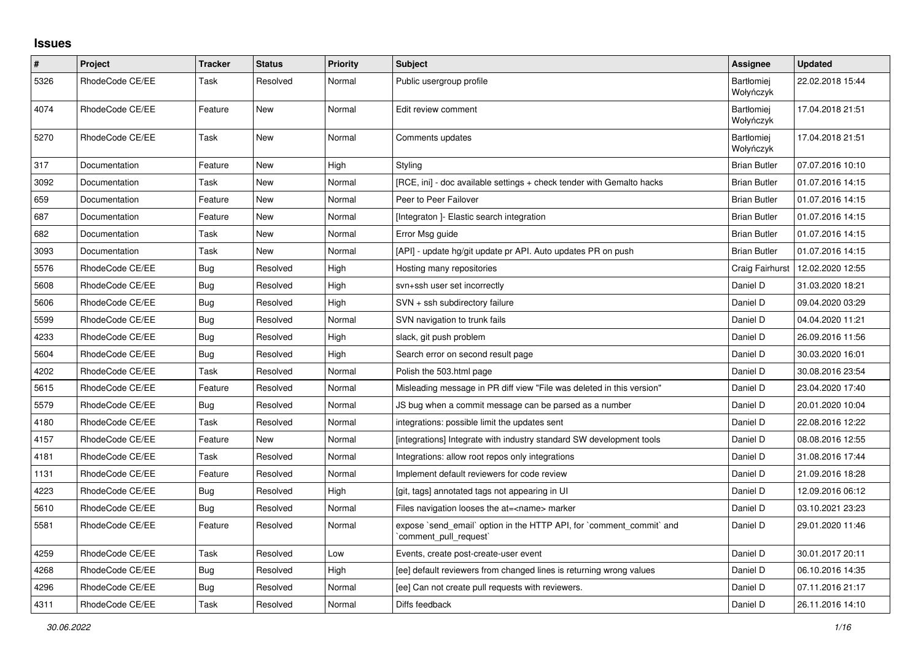## **Issues**

| $\sharp$ | Project         | <b>Tracker</b> | <b>Status</b> | <b>Priority</b> | <b>Subject</b>                                                                                | Assignee                       | <b>Updated</b>   |
|----------|-----------------|----------------|---------------|-----------------|-----------------------------------------------------------------------------------------------|--------------------------------|------------------|
| 5326     | RhodeCode CE/EE | Task           | Resolved      | Normal          | Public usergroup profile                                                                      | <b>Bartłomiei</b><br>Wołyńczyk | 22.02.2018 15:44 |
| 4074     | RhodeCode CE/EE | Feature        | New           | Normal          | Edit review comment                                                                           | <b>Bartłomiei</b><br>Wołyńczyk | 17.04.2018 21:51 |
| 5270     | RhodeCode CE/EE | Task           | New           | Normal          | Comments updates                                                                              | <b>Bartłomiej</b><br>Wołyńczyk | 17.04.2018 21:51 |
| 317      | Documentation   | Feature        | <b>New</b>    | High            | Styling                                                                                       | <b>Brian Butler</b>            | 07.07.2016 10:10 |
| 3092     | Documentation   | Task           | New           | Normal          | [RCE, ini] - doc available settings + check tender with Gemalto hacks                         | <b>Brian Butler</b>            | 01.07.2016 14:15 |
| 659      | Documentation   | Feature        | New           | Normal          | Peer to Peer Failover                                                                         | <b>Brian Butler</b>            | 01.07.2016 14:15 |
| 687      | Documentation   | Feature        | <b>New</b>    | Normal          | [Integraton ]- Elastic search integration                                                     | <b>Brian Butler</b>            | 01.07.2016 14:15 |
| 682      | Documentation   | Task           | New           | Normal          | Error Msg guide                                                                               | <b>Brian Butler</b>            | 01.07.2016 14:15 |
| 3093     | Documentation   | Task           | New           | Normal          | [API] - update hg/git update pr API. Auto updates PR on push                                  | <b>Brian Butler</b>            | 01.07.2016 14:15 |
| 5576     | RhodeCode CE/EE | Bug            | Resolved      | High            | Hosting many repositories                                                                     | Craig Fairhurst                | 12.02.2020 12:55 |
| 5608     | RhodeCode CE/EE | Bug            | Resolved      | High            | svn+ssh user set incorrectly                                                                  | Daniel D                       | 31.03.2020 18:21 |
| 5606     | RhodeCode CE/EE | Bug            | Resolved      | High            | SVN + ssh subdirectory failure                                                                | Daniel D                       | 09.04.2020 03:29 |
| 5599     | RhodeCode CE/EE | Bug            | Resolved      | Normal          | SVN navigation to trunk fails                                                                 | Daniel D                       | 04.04.2020 11:21 |
| 4233     | RhodeCode CE/EE | Bug            | Resolved      | High            | slack, git push problem                                                                       | Daniel D                       | 26.09.2016 11:56 |
| 5604     | RhodeCode CE/EE | Bug            | Resolved      | High            | Search error on second result page                                                            | Daniel D                       | 30.03.2020 16:01 |
| 4202     | RhodeCode CE/EE | Task           | Resolved      | Normal          | Polish the 503.html page                                                                      | Daniel D                       | 30.08.2016 23:54 |
| 5615     | RhodeCode CE/EE | Feature        | Resolved      | Normal          | Misleading message in PR diff view "File was deleted in this version"                         | Daniel D                       | 23.04.2020 17:40 |
| 5579     | RhodeCode CE/EE | Bug            | Resolved      | Normal          | JS bug when a commit message can be parsed as a number                                        | Daniel D                       | 20.01.2020 10:04 |
| 4180     | RhodeCode CE/EE | Task           | Resolved      | Normal          | integrations: possible limit the updates sent                                                 | Daniel D                       | 22.08.2016 12:22 |
| 4157     | RhodeCode CE/EE | Feature        | <b>New</b>    | Normal          | [integrations] Integrate with industry standard SW development tools                          | Daniel D                       | 08.08.2016 12:55 |
| 4181     | RhodeCode CE/EE | Task           | Resolved      | Normal          | Integrations: allow root repos only integrations                                              | Daniel D                       | 31.08.2016 17:44 |
| 1131     | RhodeCode CE/EE | Feature        | Resolved      | Normal          | Implement default reviewers for code review                                                   | Daniel D                       | 21.09.2016 18:28 |
| 4223     | RhodeCode CE/EE | Bug            | Resolved      | High            | [git, tags] annotated tags not appearing in UI                                                | Daniel D                       | 12.09.2016 06:12 |
| 5610     | RhodeCode CE/EE | Bug            | Resolved      | Normal          | Files navigation looses the at= <name> marker</name>                                          | Daniel D                       | 03.10.2021 23:23 |
| 5581     | RhodeCode CE/EE | Feature        | Resolved      | Normal          | expose `send_email` option in the HTTP API, for `comment_commit` and<br>comment_pull_request` | Daniel D                       | 29.01.2020 11:46 |
| 4259     | RhodeCode CE/EE | Task           | Resolved      | Low             | Events, create post-create-user event                                                         | Daniel D                       | 30.01.2017 20:11 |
| 4268     | RhodeCode CE/EE | Bug            | Resolved      | High            | [ee] default reviewers from changed lines is returning wrong values                           | Daniel D                       | 06.10.2016 14:35 |
| 4296     | RhodeCode CE/EE | <b>Bug</b>     | Resolved      | Normal          | [ee] Can not create pull requests with reviewers.                                             | Daniel D                       | 07.11.2016 21:17 |
| 4311     | RhodeCode CE/EE | Task           | Resolved      | Normal          | Diffs feedback                                                                                | Daniel D                       | 26.11.2016 14:10 |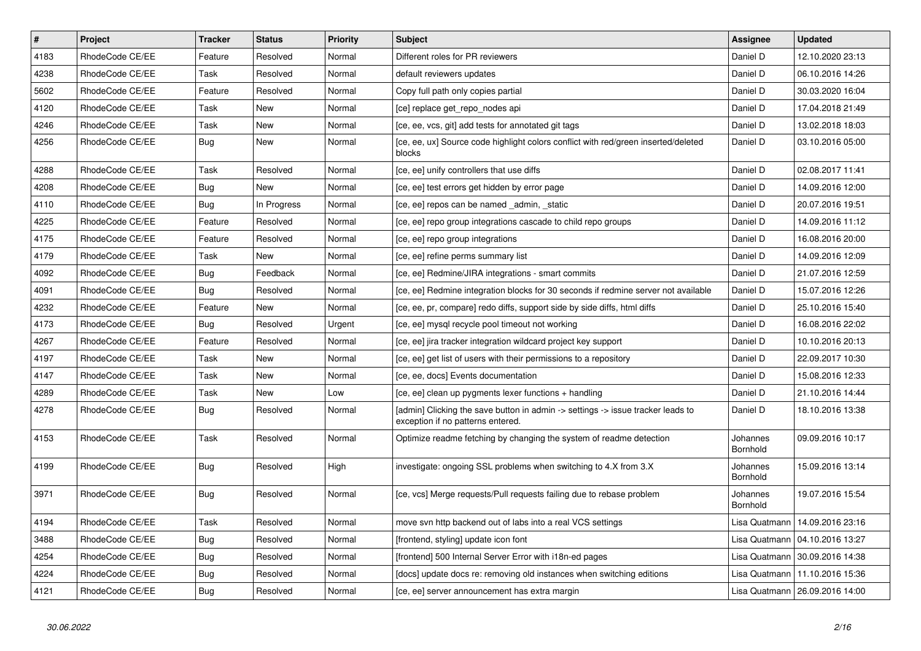| $\vert$ # | Project         | <b>Tracker</b> | <b>Status</b> | Priority | <b>Subject</b>                                                                                                       | <b>Assignee</b>      | <b>Updated</b>                   |
|-----------|-----------------|----------------|---------------|----------|----------------------------------------------------------------------------------------------------------------------|----------------------|----------------------------------|
| 4183      | RhodeCode CE/EE | Feature        | Resolved      | Normal   | Different roles for PR reviewers                                                                                     | Daniel D             | 12.10.2020 23:13                 |
| 4238      | RhodeCode CE/EE | Task           | Resolved      | Normal   | default reviewers updates                                                                                            | Daniel D             | 06.10.2016 14:26                 |
| 5602      | RhodeCode CE/EE | Feature        | Resolved      | Normal   | Copy full path only copies partial                                                                                   | Daniel D             | 30.03.2020 16:04                 |
| 4120      | RhodeCode CE/EE | Task           | <b>New</b>    | Normal   | [ce] replace get_repo_nodes api                                                                                      | Daniel D             | 17.04.2018 21:49                 |
| 4246      | RhodeCode CE/EE | Task           | <b>New</b>    | Normal   | [ce, ee, vcs, git] add tests for annotated git tags                                                                  | Daniel D             | 13.02.2018 18:03                 |
| 4256      | RhodeCode CE/EE | Bug            | <b>New</b>    | Normal   | [ce, ee, ux] Source code highlight colors conflict with red/green inserted/deleted<br>blocks                         | Daniel D             | 03.10.2016 05:00                 |
| 4288      | RhodeCode CE/EE | Task           | Resolved      | Normal   | [ce, ee] unify controllers that use diffs                                                                            | Daniel D             | 02.08.2017 11:41                 |
| 4208      | RhodeCode CE/EE | Bug            | <b>New</b>    | Normal   | [ce, ee] test errors get hidden by error page                                                                        | Daniel D             | 14.09.2016 12:00                 |
| 4110      | RhodeCode CE/EE | Bug            | In Progress   | Normal   | [ce, ee] repos can be named admin, static                                                                            | Daniel D             | 20.07.2016 19:51                 |
| 4225      | RhodeCode CE/EE | Feature        | Resolved      | Normal   | [ce, ee] repo group integrations cascade to child repo groups                                                        | Daniel D             | 14.09.2016 11:12                 |
| 4175      | RhodeCode CE/EE | Feature        | Resolved      | Normal   | [ce, ee] repo group integrations                                                                                     | Daniel D             | 16.08.2016 20:00                 |
| 4179      | RhodeCode CE/EE | Task           | New           | Normal   | [ce, ee] refine perms summary list                                                                                   | Daniel D             | 14.09.2016 12:09                 |
| 4092      | RhodeCode CE/EE | Bug            | Feedback      | Normal   | [ce, ee] Redmine/JIRA integrations - smart commits                                                                   | Daniel D             | 21.07.2016 12:59                 |
| 4091      | RhodeCode CE/EE | Bug            | Resolved      | Normal   | [ce, ee] Redmine integration blocks for 30 seconds if redmine server not available                                   | Daniel D             | 15.07.2016 12:26                 |
| 4232      | RhodeCode CE/EE | Feature        | <b>New</b>    | Normal   | [ce, ee, pr, compare] redo diffs, support side by side diffs, html diffs                                             | Daniel D             | 25.10.2016 15:40                 |
| 4173      | RhodeCode CE/EE | <b>Bug</b>     | Resolved      | Urgent   | [ce, ee] mysql recycle pool timeout not working                                                                      | Daniel D             | 16.08.2016 22:02                 |
| 4267      | RhodeCode CE/EE | Feature        | Resolved      | Normal   | [ce, ee] jira tracker integration wildcard project key support                                                       | Daniel D             | 10.10.2016 20:13                 |
| 4197      | RhodeCode CE/EE | Task           | <b>New</b>    | Normal   | [ce, ee] get list of users with their permissions to a repository                                                    | Daniel D             | 22.09.2017 10:30                 |
| 4147      | RhodeCode CE/EE | Task           | <b>New</b>    | Normal   | [ce, ee, docs] Events documentation                                                                                  | Daniel D             | 15.08.2016 12:33                 |
| 4289      | RhodeCode CE/EE | Task           | <b>New</b>    | Low      | [ce, ee] clean up pygments lexer functions + handling                                                                | Daniel D             | 21.10.2016 14:44                 |
| 4278      | RhodeCode CE/EE | <b>Bug</b>     | Resolved      | Normal   | [admin] Clicking the save button in admin -> settings -> issue tracker leads to<br>exception if no patterns entered. | Daniel D             | 18.10.2016 13:38                 |
| 4153      | RhodeCode CE/EE | Task           | Resolved      | Normal   | Optimize readme fetching by changing the system of readme detection                                                  | Johannes<br>Bornhold | 09.09.2016 10:17                 |
| 4199      | RhodeCode CE/EE | Bug            | Resolved      | High     | investigate: ongoing SSL problems when switching to 4.X from 3.X                                                     | Johannes<br>Bornhold | 15.09.2016 13:14                 |
| 3971      | RhodeCode CE/EE | <b>Bug</b>     | Resolved      | Normal   | [ce, vcs] Merge requests/Pull requests failing due to rebase problem                                                 | Johannes<br>Bornhold | 19.07.2016 15:54                 |
| 4194      | RhodeCode CE/EE | Task           | Resolved      | Normal   | move svn http backend out of labs into a real VCS settings                                                           | Lisa Quatmann        | 14.09.2016 23:16                 |
| 3488      | RhodeCode CE/EE | Bug            | Resolved      | Normal   | [frontend, styling] update icon font                                                                                 |                      | Lisa Quatmann   04.10.2016 13:27 |
| 4254      | RhodeCode CE/EE | <b>Bug</b>     | Resolved      | Normal   | [frontend] 500 Internal Server Error with i18n-ed pages                                                              | Lisa Quatmann        | 30.09.2016 14:38                 |
| 4224      | RhodeCode CE/EE | Bug            | Resolved      | Normal   | [docs] update docs re: removing old instances when switching editions                                                | Lisa Quatmann        | 11.10.2016 15:36                 |
| 4121      | RhodeCode CE/EE | Bug            | Resolved      | Normal   | [ce, ee] server announcement has extra margin                                                                        |                      | Lisa Quatmann   26.09.2016 14:00 |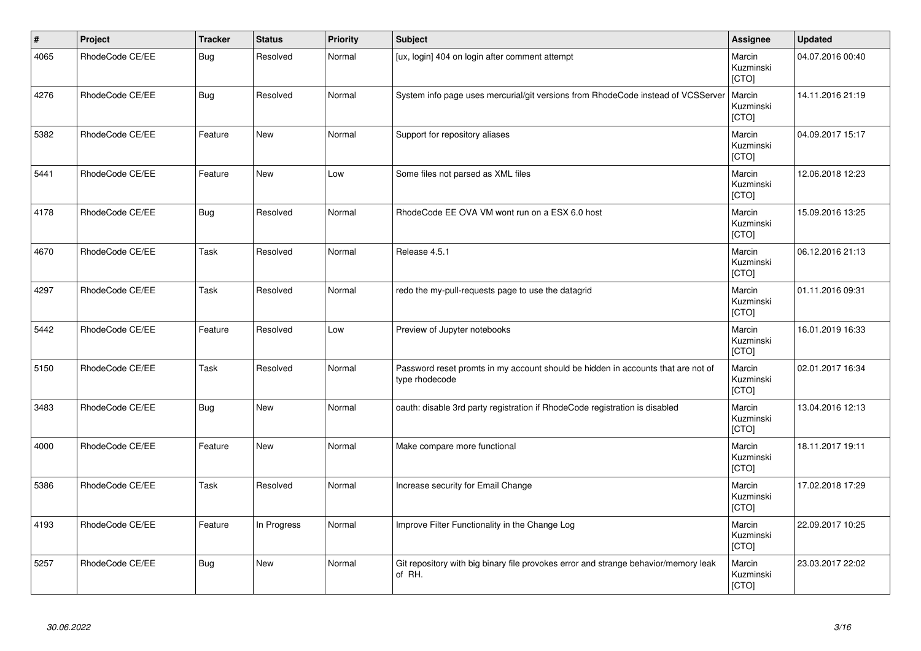| $\vert$ # | Project         | <b>Tracker</b> | <b>Status</b> | <b>Priority</b> | <b>Subject</b>                                                                                     | Assignee                            | <b>Updated</b>   |
|-----------|-----------------|----------------|---------------|-----------------|----------------------------------------------------------------------------------------------------|-------------------------------------|------------------|
| 4065      | RhodeCode CE/EE | <b>Bug</b>     | Resolved      | Normal          | [ux, login] 404 on login after comment attempt                                                     | Marcin<br>Kuzminski<br>[CTO]        | 04.07.2016 00:40 |
| 4276      | RhodeCode CE/EE | <b>Bug</b>     | Resolved      | Normal          | System info page uses mercurial/git versions from RhodeCode instead of VCSServer                   | Marcin<br>Kuzminski<br>[CTO]        | 14.11.2016 21:19 |
| 5382      | RhodeCode CE/EE | Feature        | <b>New</b>    | Normal          | Support for repository aliases                                                                     | Marcin<br>Kuzminski<br><b>[CTO]</b> | 04.09.2017 15:17 |
| 5441      | RhodeCode CE/EE | Feature        | <b>New</b>    | Low             | Some files not parsed as XML files                                                                 | Marcin<br>Kuzminski<br>[CTO]        | 12.06.2018 12:23 |
| 4178      | RhodeCode CE/EE | Bug            | Resolved      | Normal          | RhodeCode EE OVA VM wont run on a ESX 6.0 host                                                     | Marcin<br>Kuzminski<br>[CTO]        | 15.09.2016 13:25 |
| 4670      | RhodeCode CE/EE | Task           | Resolved      | Normal          | Release 4.5.1                                                                                      | Marcin<br>Kuzminski<br>[CTO]        | 06.12.2016 21:13 |
| 4297      | RhodeCode CE/EE | Task           | Resolved      | Normal          | redo the my-pull-requests page to use the datagrid                                                 | Marcin<br>Kuzminski<br>[CTO]        | 01.11.2016 09:31 |
| 5442      | RhodeCode CE/EE | Feature        | Resolved      | Low             | Preview of Jupyter notebooks                                                                       | Marcin<br>Kuzminski<br>[CTO]        | 16.01.2019 16:33 |
| 5150      | RhodeCode CE/EE | Task           | Resolved      | Normal          | Password reset promts in my account should be hidden in accounts that are not of<br>type rhodecode | Marcin<br>Kuzminski<br>[CTO]        | 02.01.2017 16:34 |
| 3483      | RhodeCode CE/EE | <b>Bug</b>     | New           | Normal          | oauth: disable 3rd party registration if RhodeCode registration is disabled                        | Marcin<br>Kuzminski<br>[CTO]        | 13.04.2016 12:13 |
| 4000      | RhodeCode CE/EE | Feature        | <b>New</b>    | Normal          | Make compare more functional                                                                       | Marcin<br>Kuzminski<br>[CTO]        | 18.11.2017 19:11 |
| 5386      | RhodeCode CE/EE | Task           | Resolved      | Normal          | Increase security for Email Change                                                                 | Marcin<br>Kuzminski<br>[CTO]        | 17.02.2018 17:29 |
| 4193      | RhodeCode CE/EE | Feature        | In Progress   | Normal          | Improve Filter Functionality in the Change Log                                                     | Marcin<br>Kuzminski<br>[CTO]        | 22.09.2017 10:25 |
| 5257      | RhodeCode CE/EE | <b>Bug</b>     | New           | Normal          | Git repository with big binary file provokes error and strange behavior/memory leak<br>of RH.      | Marcin<br>Kuzminski<br>[CTO]        | 23.03.2017 22:02 |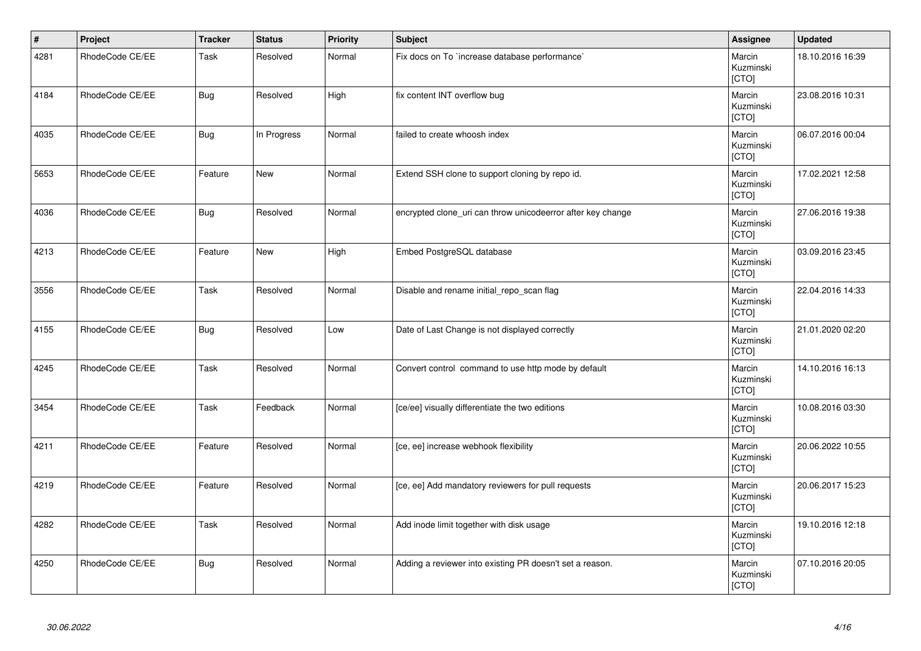| $\vert$ # | Project         | <b>Tracker</b> | <b>Status</b> | <b>Priority</b> | <b>Subject</b>                                              | Assignee                     | <b>Updated</b>   |
|-----------|-----------------|----------------|---------------|-----------------|-------------------------------------------------------------|------------------------------|------------------|
| 4281      | RhodeCode CE/EE | Task           | Resolved      | Normal          | Fix docs on To `increase database performance`              | Marcin<br>Kuzminski<br>[CTO] | 18.10.2016 16:39 |
| 4184      | RhodeCode CE/EE | <b>Bug</b>     | Resolved      | High            | fix content INT overflow bug                                | Marcin<br>Kuzminski<br>[CTO] | 23.08.2016 10:31 |
| 4035      | RhodeCode CE/EE | <b>Bug</b>     | In Progress   | Normal          | failed to create whoosh index                               | Marcin<br>Kuzminski<br>[CTO] | 06.07.2016 00:04 |
| 5653      | RhodeCode CE/EE | Feature        | <b>New</b>    | Normal          | Extend SSH clone to support cloning by repo id.             | Marcin<br>Kuzminski<br>[CTO] | 17.02.2021 12:58 |
| 4036      | RhodeCode CE/EE | <b>Bug</b>     | Resolved      | Normal          | encrypted clone_uri can throw unicodeerror after key change | Marcin<br>Kuzminski<br>[CTO] | 27.06.2016 19:38 |
| 4213      | RhodeCode CE/EE | Feature        | <b>New</b>    | High            | Embed PostgreSQL database                                   | Marcin<br>Kuzminski<br>[CTO] | 03.09.2016 23:45 |
| 3556      | RhodeCode CE/EE | Task           | Resolved      | Normal          | Disable and rename initial_repo_scan flag                   | Marcin<br>Kuzminski<br>[CTO] | 22.04.2016 14:33 |
| 4155      | RhodeCode CE/EE | <b>Bug</b>     | Resolved      | Low             | Date of Last Change is not displayed correctly              | Marcin<br>Kuzminski<br>[CTO] | 21.01.2020 02:20 |
| 4245      | RhodeCode CE/EE | Task           | Resolved      | Normal          | Convert control command to use http mode by default         | Marcin<br>Kuzminski<br>[CTO] | 14.10.2016 16:13 |
| 3454      | RhodeCode CE/EE | Task           | Feedback      | Normal          | [ce/ee] visually differentiate the two editions             | Marcin<br>Kuzminski<br>[CTO] | 10.08.2016 03:30 |
| 4211      | RhodeCode CE/EE | Feature        | Resolved      | Normal          | [ce, ee] increase webhook flexibility                       | Marcin<br>Kuzminski<br>[CTO] | 20.06.2022 10:55 |
| 4219      | RhodeCode CE/EE | Feature        | Resolved      | Normal          | [ce, ee] Add mandatory reviewers for pull requests          | Marcin<br>Kuzminski<br>[CTO] | 20.06.2017 15:23 |
| 4282      | RhodeCode CE/EE | Task           | Resolved      | Normal          | Add inode limit together with disk usage                    | Marcin<br>Kuzminski<br>[CTO] | 19.10.2016 12:18 |
| 4250      | RhodeCode CE/EE | <b>Bug</b>     | Resolved      | Normal          | Adding a reviewer into existing PR doesn't set a reason.    | Marcin<br>Kuzminski<br>[CTO] | 07.10.2016 20:05 |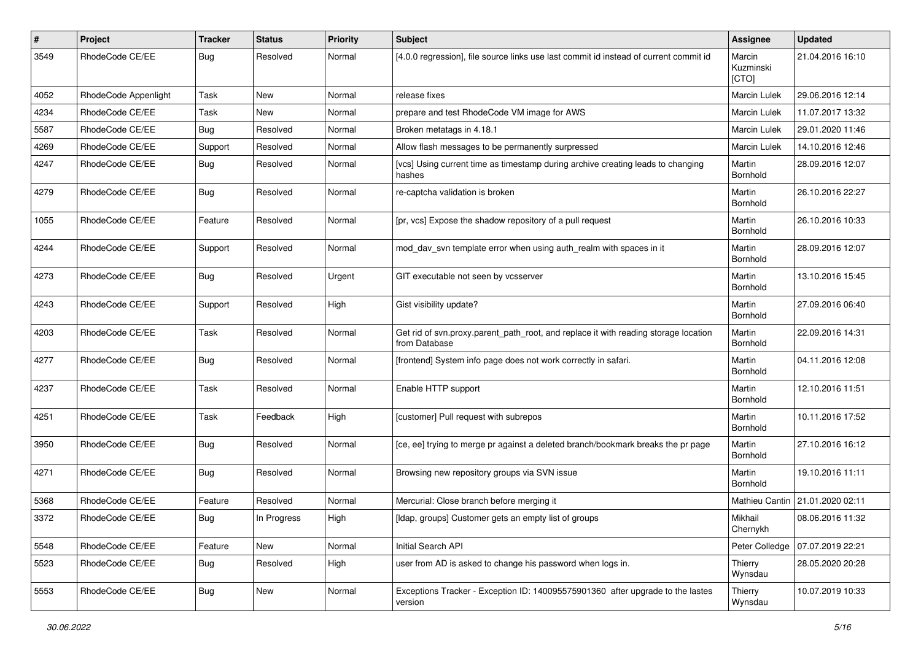| $\pmb{\#}$ | Project              | <b>Tracker</b> | <b>Status</b> | <b>Priority</b> | Subject                                                                                              | <b>Assignee</b>              | <b>Updated</b>                    |
|------------|----------------------|----------------|---------------|-----------------|------------------------------------------------------------------------------------------------------|------------------------------|-----------------------------------|
| 3549       | RhodeCode CE/EE      | Bug            | Resolved      | Normal          | [4.0.0 regression], file source links use last commit id instead of current commit id                | Marcin<br>Kuzminski<br>[CTO] | 21.04.2016 16:10                  |
| 4052       | RhodeCode Appenlight | Task           | New           | Normal          | release fixes                                                                                        | Marcin Lulek                 | 29.06.2016 12:14                  |
| 4234       | RhodeCode CE/EE      | Task           | <b>New</b>    | Normal          | prepare and test RhodeCode VM image for AWS                                                          | Marcin Lulek                 | 11.07.2017 13:32                  |
| 5587       | RhodeCode CE/EE      | Bug            | Resolved      | Normal          | Broken metatags in 4.18.1                                                                            | Marcin Lulek                 | 29.01.2020 11:46                  |
| 4269       | RhodeCode CE/EE      | Support        | Resolved      | Normal          | Allow flash messages to be permanently surpressed                                                    | <b>Marcin Lulek</b>          | 14.10.2016 12:46                  |
| 4247       | RhodeCode CE/EE      | Bug            | Resolved      | Normal          | [vcs] Using current time as timestamp during archive creating leads to changing<br>hashes            | Martin<br>Bornhold           | 28.09.2016 12:07                  |
| 4279       | RhodeCode CE/EE      | <b>Bug</b>     | Resolved      | Normal          | re-captcha validation is broken                                                                      | Martin<br>Bornhold           | 26.10.2016 22:27                  |
| 1055       | RhodeCode CE/EE      | Feature        | Resolved      | Normal          | [pr, vcs] Expose the shadow repository of a pull request                                             | Martin<br>Bornhold           | 26.10.2016 10:33                  |
| 4244       | RhodeCode CE/EE      | Support        | Resolved      | Normal          | mod_dav_svn template error when using auth_realm with spaces in it                                   | Martin<br>Bornhold           | 28.09.2016 12:07                  |
| 4273       | RhodeCode CE/EE      | Bug            | Resolved      | Urgent          | GIT executable not seen by vcsserver                                                                 | Martin<br>Bornhold           | 13.10.2016 15:45                  |
| 4243       | RhodeCode CE/EE      | Support        | Resolved      | High            | Gist visibility update?                                                                              | Martin<br>Bornhold           | 27.09.2016 06:40                  |
| 4203       | RhodeCode CE/EE      | Task           | Resolved      | Normal          | Get rid of svn.proxy.parent_path_root, and replace it with reading storage location<br>from Database | Martin<br>Bornhold           | 22.09.2016 14:31                  |
| 4277       | RhodeCode CE/EE      | Bug            | Resolved      | Normal          | [frontend] System info page does not work correctly in safari.                                       | Martin<br>Bornhold           | 04.11.2016 12:08                  |
| 4237       | RhodeCode CE/EE      | Task           | Resolved      | Normal          | Enable HTTP support                                                                                  | Martin<br>Bornhold           | 12.10.2016 11:51                  |
| 4251       | RhodeCode CE/EE      | Task           | Feedback      | High            | [customer] Pull request with subrepos                                                                | Martin<br>Bornhold           | 10.11.2016 17:52                  |
| 3950       | RhodeCode CE/EE      | Bug            | Resolved      | Normal          | [ce, ee] trying to merge pr against a deleted branch/bookmark breaks the pr page                     | Martin<br>Bornhold           | 27.10.2016 16:12                  |
| 4271       | RhodeCode CE/EE      | Bug            | Resolved      | Normal          | Browsing new repository groups via SVN issue                                                         | Martin<br>Bornhold           | 19.10.2016 11:11                  |
| 5368       | RhodeCode CE/EE      | Feature        | Resolved      | Normal          | Mercurial: Close branch before merging it                                                            |                              | Mathieu Cantin   21.01.2020 02:11 |
| 3372       | RhodeCode CE/EE      | Bug            | In Progress   | High            | [Idap, groups] Customer gets an empty list of groups                                                 | Mikhail<br>Chernykh          | 08.06.2016 11:32                  |
| 5548       | RhodeCode CE/EE      | Feature        | New           | Normal          | Initial Search API                                                                                   | Peter Colledge               | 07.07.2019 22:21                  |
| 5523       | RhodeCode CE/EE      | Bug            | Resolved      | High            | user from AD is asked to change his password when logs in.                                           | Thierry<br>Wynsdau           | 28.05.2020 20:28                  |
| 5553       | RhodeCode CE/EE      | Bug            | New           | Normal          | Exceptions Tracker - Exception ID: 140095575901360 after upgrade to the lastes<br>version            | Thierry<br>Wynsdau           | 10.07.2019 10:33                  |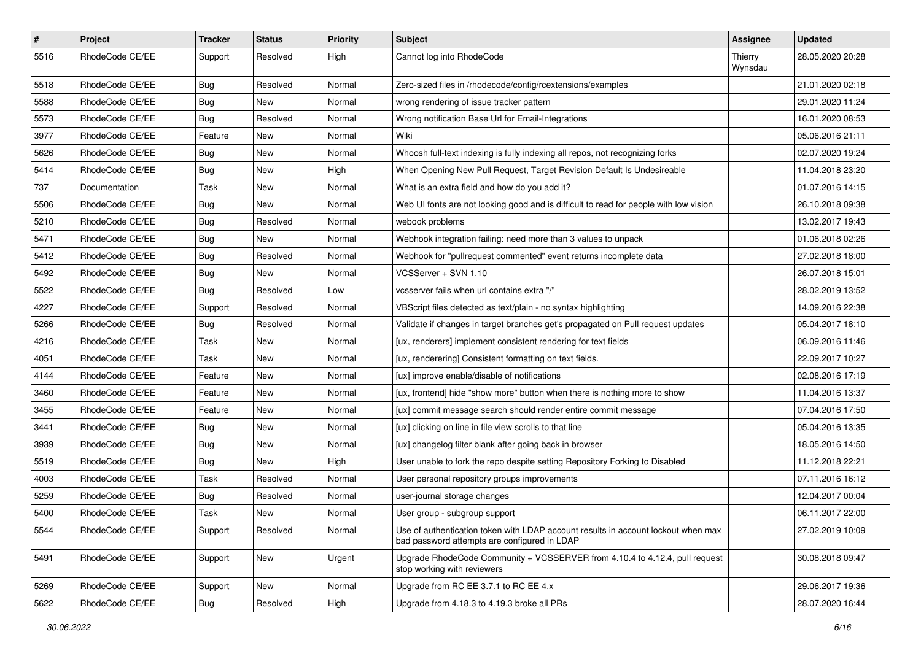| $\sharp$ | Project         | <b>Tracker</b> | <b>Status</b> | <b>Priority</b> | <b>Subject</b>                                                                                                                    | Assignee           | <b>Updated</b>   |
|----------|-----------------|----------------|---------------|-----------------|-----------------------------------------------------------------------------------------------------------------------------------|--------------------|------------------|
| 5516     | RhodeCode CE/EE | Support        | Resolved      | High            | Cannot log into RhodeCode                                                                                                         | Thierry<br>Wynsdau | 28.05.2020 20:28 |
| 5518     | RhodeCode CE/EE | <b>Bug</b>     | Resolved      | Normal          | Zero-sized files in /rhodecode/config/rcextensions/examples                                                                       |                    | 21.01.2020 02:18 |
| 5588     | RhodeCode CE/EE | <b>Bug</b>     | New           | Normal          | wrong rendering of issue tracker pattern                                                                                          |                    | 29.01.2020 11:24 |
| 5573     | RhodeCode CE/EE | Bug            | Resolved      | Normal          | Wrong notification Base Url for Email-Integrations                                                                                |                    | 16.01.2020 08:53 |
| 3977     | RhodeCode CE/EE | Feature        | New           | Normal          | Wiki                                                                                                                              |                    | 05.06.2016 21:11 |
| 5626     | RhodeCode CE/EE | Bug            | New           | Normal          | Whoosh full-text indexing is fully indexing all repos, not recognizing forks                                                      |                    | 02.07.2020 19:24 |
| 5414     | RhodeCode CE/EE | <b>Bug</b>     | New           | High            | When Opening New Pull Request, Target Revision Default Is Undesireable                                                            |                    | 11.04.2018 23:20 |
| 737      | Documentation   | Task           | New           | Normal          | What is an extra field and how do you add it?                                                                                     |                    | 01.07.2016 14:15 |
| 5506     | RhodeCode CE/EE | <b>Bug</b>     | <b>New</b>    | Normal          | Web UI fonts are not looking good and is difficult to read for people with low vision                                             |                    | 26.10.2018 09:38 |
| 5210     | RhodeCode CE/EE | Bug            | Resolved      | Normal          | webook problems                                                                                                                   |                    | 13.02.2017 19:43 |
| 5471     | RhodeCode CE/EE | Bug            | New           | Normal          | Webhook integration failing: need more than 3 values to unpack                                                                    |                    | 01.06.2018 02:26 |
| 5412     | RhodeCode CE/EE | Bug            | Resolved      | Normal          | Webhook for "pullrequest commented" event returns incomplete data                                                                 |                    | 27.02.2018 18:00 |
| 5492     | RhodeCode CE/EE | Bug            | <b>New</b>    | Normal          | VCSServer + SVN 1.10                                                                                                              |                    | 26.07.2018 15:01 |
| 5522     | RhodeCode CE/EE | Bug            | Resolved      | Low             | vcsserver fails when url contains extra "/"                                                                                       |                    | 28.02.2019 13:52 |
| 4227     | RhodeCode CE/EE | Support        | Resolved      | Normal          | VBScript files detected as text/plain - no syntax highlighting                                                                    |                    | 14.09.2016 22:38 |
| 5266     | RhodeCode CE/EE | Bug            | Resolved      | Normal          | Validate if changes in target branches get's propagated on Pull request updates                                                   |                    | 05.04.2017 18:10 |
| 4216     | RhodeCode CE/EE | Task           | New           | Normal          | [ux, renderers] implement consistent rendering for text fields                                                                    |                    | 06.09.2016 11:46 |
| 4051     | RhodeCode CE/EE | Task           | New           | Normal          | [ux, renderering] Consistent formatting on text fields.                                                                           |                    | 22.09.2017 10:27 |
| 4144     | RhodeCode CE/EE | Feature        | <b>New</b>    | Normal          | [ux] improve enable/disable of notifications                                                                                      |                    | 02.08.2016 17:19 |
| 3460     | RhodeCode CE/EE | Feature        | New           | Normal          | [ux, frontend] hide "show more" button when there is nothing more to show                                                         |                    | 11.04.2016 13:37 |
| 3455     | RhodeCode CE/EE | Feature        | New           | Normal          | [ux] commit message search should render entire commit message                                                                    |                    | 07.04.2016 17:50 |
| 3441     | RhodeCode CE/EE | Bug            | <b>New</b>    | Normal          | [ux] clicking on line in file view scrolls to that line                                                                           |                    | 05.04.2016 13:35 |
| 3939     | RhodeCode CE/EE | Bug            | New           | Normal          | [ux] changelog filter blank after going back in browser                                                                           |                    | 18.05.2016 14:50 |
| 5519     | RhodeCode CE/EE | Bug            | New           | High            | User unable to fork the repo despite setting Repository Forking to Disabled                                                       |                    | 11.12.2018 22:21 |
| 4003     | RhodeCode CE/EE | Task           | Resolved      | Normal          | User personal repository groups improvements                                                                                      |                    | 07.11.2016 16:12 |
| 5259     | RhodeCode CE/EE | Bug            | Resolved      | Normal          | user-journal storage changes                                                                                                      |                    | 12.04.2017 00:04 |
| 5400     | RhodeCode CE/EE | Task           | <b>New</b>    | Normal          | User group - subgroup support                                                                                                     |                    | 06.11.2017 22:00 |
| 5544     | RhodeCode CE/EE | Support        | Resolved      | Normal          | Use of authentication token with LDAP account results in account lockout when max<br>bad password attempts are configured in LDAP |                    | 27.02.2019 10:09 |
| 5491     | RhodeCode CE/EE | Support        | New           | Urgent          | Upgrade RhodeCode Community + VCSSERVER from 4.10.4 to 4.12.4, pull request<br>stop working with reviewers                        |                    | 30.08.2018 09:47 |
| 5269     | RhodeCode CE/EE | Support        | New           | Normal          | Upgrade from RC EE 3.7.1 to RC EE 4.x                                                                                             |                    | 29.06.2017 19:36 |
| 5622     | RhodeCode CE/EE | <b>Bug</b>     | Resolved      | High            | Upgrade from 4.18.3 to 4.19.3 broke all PRs                                                                                       |                    | 28.07.2020 16:44 |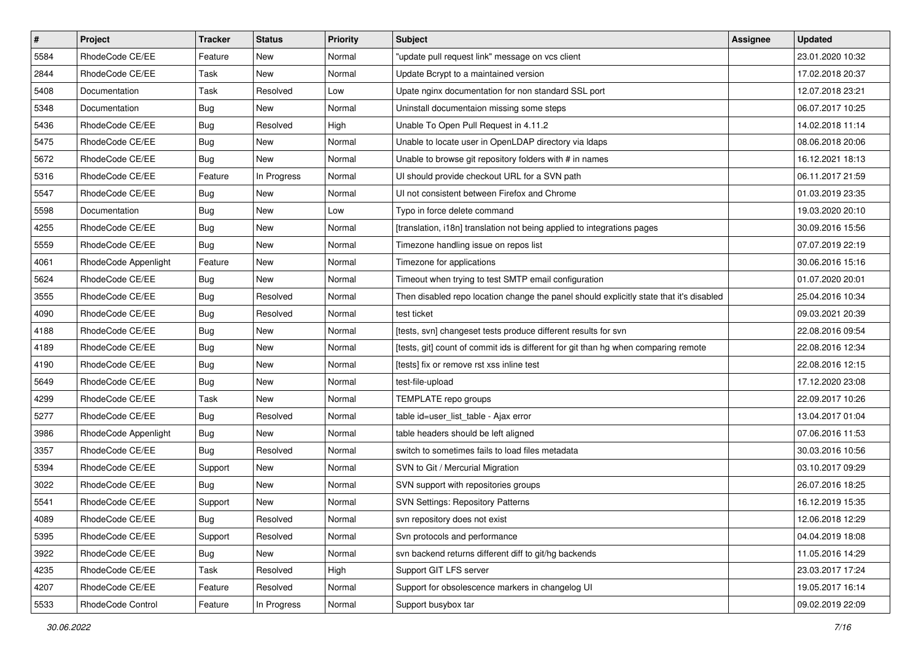| $\pmb{\#}$ | <b>Project</b>       | <b>Tracker</b> | <b>Status</b> | <b>Priority</b> | <b>Subject</b>                                                                          | Assignee | <b>Updated</b>   |
|------------|----------------------|----------------|---------------|-----------------|-----------------------------------------------------------------------------------------|----------|------------------|
| 5584       | RhodeCode CE/EE      | Feature        | New           | Normal          | "update pull request link" message on vcs client                                        |          | 23.01.2020 10:32 |
| 2844       | RhodeCode CE/EE      | Task           | <b>New</b>    | Normal          | Update Bcrypt to a maintained version                                                   |          | 17.02.2018 20:37 |
| 5408       | Documentation        | Task           | Resolved      | Low             | Upate nginx documentation for non standard SSL port                                     |          | 12.07.2018 23:21 |
| 5348       | Documentation        | Bug            | New           | Normal          | Uninstall documentaion missing some steps                                               |          | 06.07.2017 10:25 |
| 5436       | RhodeCode CE/EE      | Bug            | Resolved      | High            | Unable To Open Pull Request in 4.11.2                                                   |          | 14.02.2018 11:14 |
| 5475       | RhodeCode CE/EE      | Bug            | New           | Normal          | Unable to locate user in OpenLDAP directory via Idaps                                   |          | 08.06.2018 20:06 |
| 5672       | RhodeCode CE/EE      | Bug            | New           | Normal          | Unable to browse git repository folders with # in names                                 |          | 16.12.2021 18:13 |
| 5316       | RhodeCode CE/EE      | Feature        | In Progress   | Normal          | UI should provide checkout URL for a SVN path                                           |          | 06.11.2017 21:59 |
| 5547       | RhodeCode CE/EE      | Bug            | New           | Normal          | UI not consistent between Firefox and Chrome                                            |          | 01.03.2019 23:35 |
| 5598       | Documentation        | Bug            | <b>New</b>    | Low             | Typo in force delete command                                                            |          | 19.03.2020 20:10 |
| 4255       | RhodeCode CE/EE      | Bug            | New           | Normal          | [translation, i18n] translation not being applied to integrations pages                 |          | 30.09.2016 15:56 |
| 5559       | RhodeCode CE/EE      | Bug            | New           | Normal          | Timezone handling issue on repos list                                                   |          | 07.07.2019 22:19 |
| 4061       | RhodeCode Appenlight | Feature        | New           | Normal          | Timezone for applications                                                               |          | 30.06.2016 15:16 |
| 5624       | RhodeCode CE/EE      | Bug            | New           | Normal          | Timeout when trying to test SMTP email configuration                                    |          | 01.07.2020 20:01 |
| 3555       | RhodeCode CE/EE      | Bug            | Resolved      | Normal          | Then disabled repo location change the panel should explicitly state that it's disabled |          | 25.04.2016 10:34 |
| 4090       | RhodeCode CE/EE      | Bug            | Resolved      | Normal          | test ticket                                                                             |          | 09.03.2021 20:39 |
| 4188       | RhodeCode CE/EE      | Bug            | New           | Normal          | [tests, svn] changeset tests produce different results for svn                          |          | 22.08.2016 09:54 |
| 4189       | RhodeCode CE/EE      | Bug            | New           | Normal          | [tests, git] count of commit ids is different for git than hg when comparing remote     |          | 22.08.2016 12:34 |
| 4190       | RhodeCode CE/EE      | Bug            | New           | Normal          | [tests] fix or remove rst xss inline test                                               |          | 22.08.2016 12:15 |
| 5649       | RhodeCode CE/EE      | <b>Bug</b>     | New           | Normal          | test-file-upload                                                                        |          | 17.12.2020 23:08 |
| 4299       | RhodeCode CE/EE      | Task           | New           | Normal          | TEMPLATE repo groups                                                                    |          | 22.09.2017 10:26 |
| 5277       | RhodeCode CE/EE      | Bug            | Resolved      | Normal          | table id=user_list_table - Ajax error                                                   |          | 13.04.2017 01:04 |
| 3986       | RhodeCode Appenlight | Bug            | New           | Normal          | table headers should be left aligned                                                    |          | 07.06.2016 11:53 |
| 3357       | RhodeCode CE/EE      | Bug            | Resolved      | Normal          | switch to sometimes fails to load files metadata                                        |          | 30.03.2016 10:56 |
| 5394       | RhodeCode CE/EE      | Support        | New           | Normal          | SVN to Git / Mercurial Migration                                                        |          | 03.10.2017 09:29 |
| 3022       | RhodeCode CE/EE      | Bug            | New           | Normal          | SVN support with repositories groups                                                    |          | 26.07.2016 18:25 |
| 5541       | RhodeCode CE/EE      | Support        | New           | Normal          | <b>SVN Settings: Repository Patterns</b>                                                |          | 16.12.2019 15:35 |
| 4089       | RhodeCode CE/EE      | <b>Bug</b>     | Resolved      | Normal          | svn repository does not exist                                                           |          | 12.06.2018 12:29 |
| 5395       | RhodeCode CE/EE      | Support        | Resolved      | Normal          | Svn protocols and performance                                                           |          | 04.04.2019 18:08 |
| 3922       | RhodeCode CE/EE      | Bug            | New           | Normal          | svn backend returns different diff to git/hg backends                                   |          | 11.05.2016 14:29 |
| 4235       | RhodeCode CE/EE      | Task           | Resolved      | High            | Support GIT LFS server                                                                  |          | 23.03.2017 17:24 |
| 4207       | RhodeCode CE/EE      | Feature        | Resolved      | Normal          | Support for obsolescence markers in changelog UI                                        |          | 19.05.2017 16:14 |
| 5533       | RhodeCode Control    | Feature        | In Progress   | Normal          | Support busybox tar                                                                     |          | 09.02.2019 22:09 |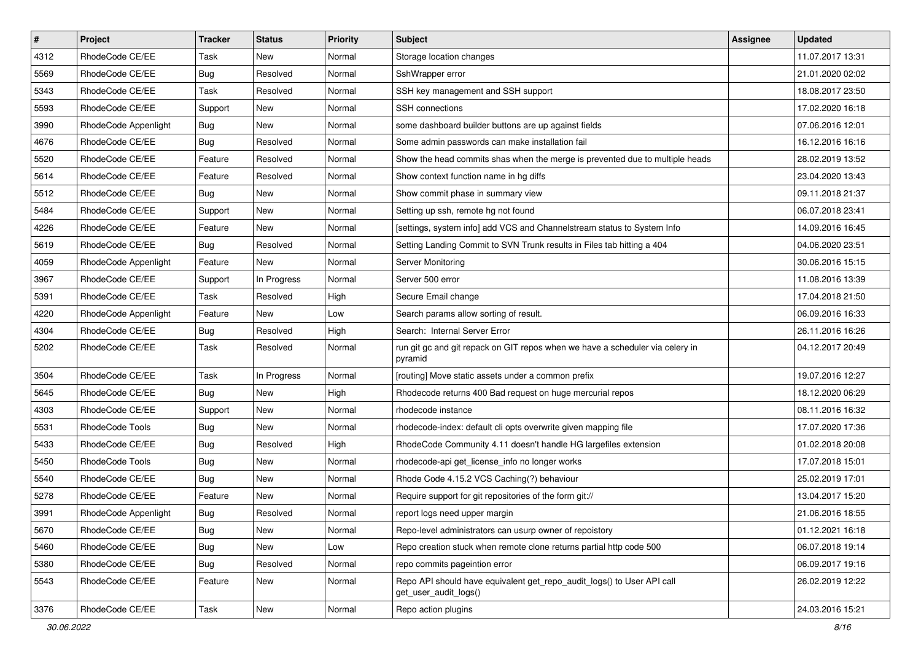| $\vert$ # | Project              | <b>Tracker</b> | <b>Status</b> | <b>Priority</b> | <b>Subject</b>                                                                                  | <b>Assignee</b> | <b>Updated</b>   |
|-----------|----------------------|----------------|---------------|-----------------|-------------------------------------------------------------------------------------------------|-----------------|------------------|
| 4312      | RhodeCode CE/EE      | Task           | New           | Normal          | Storage location changes                                                                        |                 | 11.07.2017 13:31 |
| 5569      | RhodeCode CE/EE      | Bug            | Resolved      | Normal          | SshWrapper error                                                                                |                 | 21.01.2020 02:02 |
| 5343      | RhodeCode CE/EE      | Task           | Resolved      | Normal          | SSH key management and SSH support                                                              |                 | 18.08.2017 23:50 |
| 5593      | RhodeCode CE/EE      | Support        | New           | Normal          | SSH connections                                                                                 |                 | 17.02.2020 16:18 |
| 3990      | RhodeCode Appenlight | Bug            | New           | Normal          | some dashboard builder buttons are up against fields                                            |                 | 07.06.2016 12:01 |
| 4676      | RhodeCode CE/EE      | Bug            | Resolved      | Normal          | Some admin passwords can make installation fail                                                 |                 | 16.12.2016 16:16 |
| 5520      | RhodeCode CE/EE      | Feature        | Resolved      | Normal          | Show the head commits shas when the merge is prevented due to multiple heads                    |                 | 28.02.2019 13:52 |
| 5614      | RhodeCode CE/EE      | Feature        | Resolved      | Normal          | Show context function name in hg diffs                                                          |                 | 23.04.2020 13:43 |
| 5512      | RhodeCode CE/EE      | Bug            | New           | Normal          | Show commit phase in summary view                                                               |                 | 09.11.2018 21:37 |
| 5484      | RhodeCode CE/EE      | Support        | New           | Normal          | Setting up ssh, remote hg not found                                                             |                 | 06.07.2018 23:41 |
| 4226      | RhodeCode CE/EE      | Feature        | New           | Normal          | [settings, system info] add VCS and Channelstream status to System Info                         |                 | 14.09.2016 16:45 |
| 5619      | RhodeCode CE/EE      | Bug            | Resolved      | Normal          | Setting Landing Commit to SVN Trunk results in Files tab hitting a 404                          |                 | 04.06.2020 23:51 |
| 4059      | RhodeCode Appenlight | Feature        | <b>New</b>    | Normal          | Server Monitoring                                                                               |                 | 30.06.2016 15:15 |
| 3967      | RhodeCode CE/EE      | Support        | In Progress   | Normal          | Server 500 error                                                                                |                 | 11.08.2016 13:39 |
| 5391      | RhodeCode CE/EE      | Task           | Resolved      | High            | Secure Email change                                                                             |                 | 17.04.2018 21:50 |
| 4220      | RhodeCode Appenlight | Feature        | New           | Low             | Search params allow sorting of result.                                                          |                 | 06.09.2016 16:33 |
| 4304      | RhodeCode CE/EE      | Bug            | Resolved      | High            | Search: Internal Server Error                                                                   |                 | 26.11.2016 16:26 |
| 5202      | RhodeCode CE/EE      | Task           | Resolved      | Normal          | run git gc and git repack on GIT repos when we have a scheduler via celery in<br>pyramid        |                 | 04.12.2017 20:49 |
| 3504      | RhodeCode CE/EE      | Task           | In Progress   | Normal          | [routing] Move static assets under a common prefix                                              |                 | 19.07.2016 12:27 |
| 5645      | RhodeCode CE/EE      | <b>Bug</b>     | <b>New</b>    | High            | Rhodecode returns 400 Bad request on huge mercurial repos                                       |                 | 18.12.2020 06:29 |
| 4303      | RhodeCode CE/EE      | Support        | New           | Normal          | rhodecode instance                                                                              |                 | 08.11.2016 16:32 |
| 5531      | RhodeCode Tools      | <b>Bug</b>     | New           | Normal          | rhodecode-index: default cli opts overwrite given mapping file                                  |                 | 17.07.2020 17:36 |
| 5433      | RhodeCode CE/EE      | <b>Bug</b>     | Resolved      | High            | RhodeCode Community 4.11 doesn't handle HG largefiles extension                                 |                 | 01.02.2018 20:08 |
| 5450      | RhodeCode Tools      | <b>Bug</b>     | New           | Normal          | rhodecode-api get_license_info no longer works                                                  |                 | 17.07.2018 15:01 |
| 5540      | RhodeCode CE/EE      | Bug            | New           | Normal          | Rhode Code 4.15.2 VCS Caching(?) behaviour                                                      |                 | 25.02.2019 17:01 |
| 5278      | RhodeCode CE/EE      | Feature        | New           | Normal          | Require support for git repositories of the form git://                                         |                 | 13.04.2017 15:20 |
| 3991      | RhodeCode Appenlight | <b>Bug</b>     | Resolved      | Normal          | report logs need upper margin                                                                   |                 | 21.06.2016 18:55 |
| 5670      | RhodeCode CE/EE      | <b>Bug</b>     | New           | Normal          | Repo-level administrators can usurp owner of repoistory                                         |                 | 01.12.2021 16:18 |
| 5460      | RhodeCode CE/EE      | <b>Bug</b>     | New           | Low             | Repo creation stuck when remote clone returns partial http code 500                             |                 | 06.07.2018 19:14 |
| 5380      | RhodeCode CE/EE      | <b>Bug</b>     | Resolved      | Normal          | repo commits pageintion error                                                                   |                 | 06.09.2017 19:16 |
| 5543      | RhodeCode CE/EE      | Feature        | New           | Normal          | Repo API should have equivalent get repo audit logs() to User API call<br>get_user_audit_logs() |                 | 26.02.2019 12:22 |
| 3376      | RhodeCode CE/EE      | Task           | New           | Normal          | Repo action plugins                                                                             |                 | 24.03.2016 15:21 |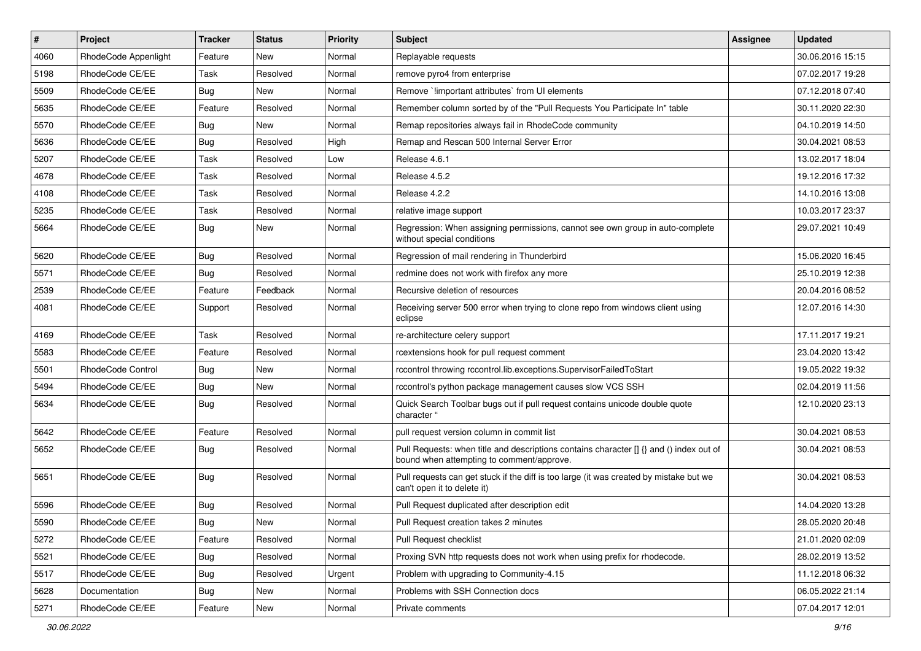| $\sharp$ | Project                  | <b>Tracker</b> | <b>Status</b> | Priority | <b>Subject</b>                                                                                                                       | <b>Assignee</b> | <b>Updated</b>   |
|----------|--------------------------|----------------|---------------|----------|--------------------------------------------------------------------------------------------------------------------------------------|-----------------|------------------|
| 4060     | RhodeCode Appenlight     | Feature        | New           | Normal   | Replayable requests                                                                                                                  |                 | 30.06.2016 15:15 |
| 5198     | RhodeCode CE/EE          | Task           | Resolved      | Normal   | remove pyro4 from enterprise                                                                                                         |                 | 07.02.2017 19:28 |
| 5509     | RhodeCode CE/EE          | <b>Bug</b>     | New           | Normal   | Remove `!important attributes` from UI elements                                                                                      |                 | 07.12.2018 07:40 |
| 5635     | RhodeCode CE/EE          | Feature        | Resolved      | Normal   | Remember column sorted by of the "Pull Requests You Participate In" table                                                            |                 | 30.11.2020 22:30 |
| 5570     | RhodeCode CE/EE          | Bug            | <b>New</b>    | Normal   | Remap repositories always fail in RhodeCode community                                                                                |                 | 04.10.2019 14:50 |
| 5636     | RhodeCode CE/EE          | Bug            | Resolved      | High     | Remap and Rescan 500 Internal Server Error                                                                                           |                 | 30.04.2021 08:53 |
| 5207     | RhodeCode CE/EE          | Task           | Resolved      | Low      | Release 4.6.1                                                                                                                        |                 | 13.02.2017 18:04 |
| 4678     | RhodeCode CE/EE          | Task           | Resolved      | Normal   | Release 4.5.2                                                                                                                        |                 | 19.12.2016 17:32 |
| 4108     | RhodeCode CE/EE          | Task           | Resolved      | Normal   | Release 4.2.2                                                                                                                        |                 | 14.10.2016 13:08 |
| 5235     | RhodeCode CE/EE          | Task           | Resolved      | Normal   | relative image support                                                                                                               |                 | 10.03.2017 23:37 |
| 5664     | RhodeCode CE/EE          | Bug            | New           | Normal   | Regression: When assigning permissions, cannot see own group in auto-complete<br>without special conditions                          |                 | 29.07.2021 10:49 |
| 5620     | RhodeCode CE/EE          | Bug            | Resolved      | Normal   | Regression of mail rendering in Thunderbird                                                                                          |                 | 15.06.2020 16:45 |
| 5571     | RhodeCode CE/EE          | Bug            | Resolved      | Normal   | redmine does not work with firefox any more                                                                                          |                 | 25.10.2019 12:38 |
| 2539     | RhodeCode CE/EE          | Feature        | Feedback      | Normal   | Recursive deletion of resources                                                                                                      |                 | 20.04.2016 08:52 |
| 4081     | RhodeCode CE/EE          | Support        | Resolved      | Normal   | Receiving server 500 error when trying to clone repo from windows client using<br>eclipse                                            |                 | 12.07.2016 14:30 |
| 4169     | RhodeCode CE/EE          | Task           | Resolved      | Normal   | re-architecture celery support                                                                                                       |                 | 17.11.2017 19:21 |
| 5583     | RhodeCode CE/EE          | Feature        | Resolved      | Normal   | rcextensions hook for pull request comment                                                                                           |                 | 23.04.2020 13:42 |
| 5501     | <b>RhodeCode Control</b> | Bug            | New           | Normal   | rccontrol throwing rccontrol.lib.exceptions.SupervisorFailedToStart                                                                  |                 | 19.05.2022 19:32 |
| 5494     | RhodeCode CE/EE          | Bug            | New           | Normal   | rccontrol's python package management causes slow VCS SSH                                                                            |                 | 02.04.2019 11:56 |
| 5634     | RhodeCode CE/EE          | Bug            | Resolved      | Normal   | Quick Search Toolbar bugs out if pull request contains unicode double quote<br>character "                                           |                 | 12.10.2020 23:13 |
| 5642     | RhodeCode CE/EE          | Feature        | Resolved      | Normal   | pull request version column in commit list                                                                                           |                 | 30.04.2021 08:53 |
| 5652     | RhodeCode CE/EE          | Bug            | Resolved      | Normal   | Pull Requests: when title and descriptions contains character [] {} and () index out of<br>bound when attempting to comment/approve. |                 | 30.04.2021 08:53 |
| 5651     | RhodeCode CE/EE          | Bug            | Resolved      | Normal   | Pull requests can get stuck if the diff is too large (it was created by mistake but we<br>can't open it to delete it)                |                 | 30.04.2021 08:53 |
| 5596     | RhodeCode CE/EE          | Bug            | Resolved      | Normal   | Pull Request duplicated after description edit                                                                                       |                 | 14.04.2020 13:28 |
| 5590     | RhodeCode CE/EE          | Bug            | New           | Normal   | Pull Request creation takes 2 minutes                                                                                                |                 | 28.05.2020 20:48 |
| 5272     | RhodeCode CE/EE          | Feature        | Resolved      | Normal   | Pull Request checklist                                                                                                               |                 | 21.01.2020 02:09 |
| 5521     | RhodeCode CE/EE          | <b>Bug</b>     | Resolved      | Normal   | Proxing SVN http requests does not work when using prefix for rhodecode.                                                             |                 | 28.02.2019 13:52 |
| 5517     | RhodeCode CE/EE          | Bug            | Resolved      | Urgent   | Problem with upgrading to Community-4.15                                                                                             |                 | 11.12.2018 06:32 |
| 5628     | Documentation            | <b>Bug</b>     | New           | Normal   | Problems with SSH Connection docs                                                                                                    |                 | 06.05.2022 21:14 |
| 5271     | RhodeCode CE/EE          | Feature        | New           | Normal   | Private comments                                                                                                                     |                 | 07.04.2017 12:01 |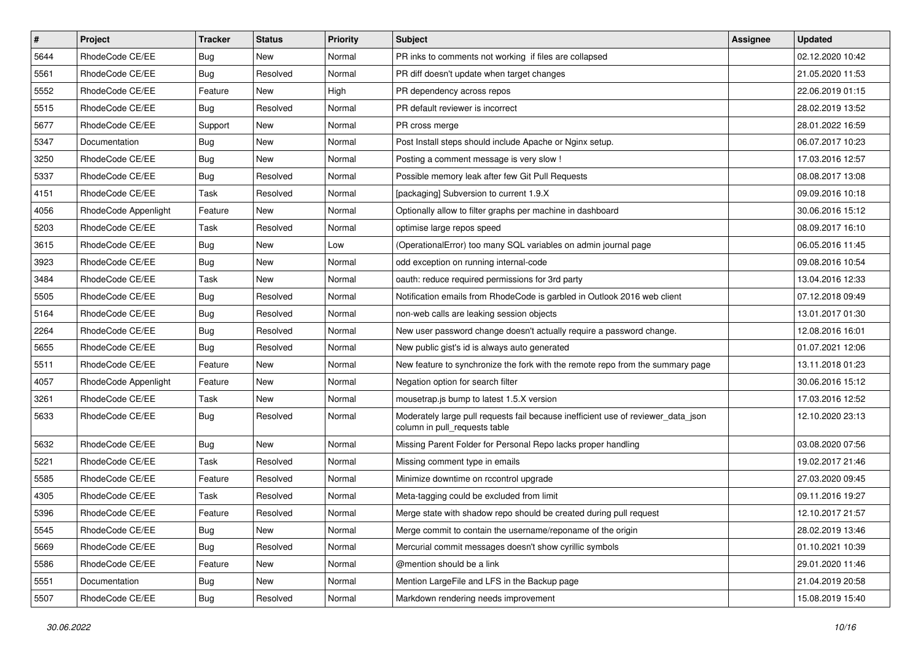| $\sharp$ | Project              | <b>Tracker</b> | <b>Status</b> | <b>Priority</b> | <b>Subject</b>                                                                                                     | <b>Assignee</b> | <b>Updated</b>   |
|----------|----------------------|----------------|---------------|-----------------|--------------------------------------------------------------------------------------------------------------------|-----------------|------------------|
| 5644     | RhodeCode CE/EE      | <b>Bug</b>     | New           | Normal          | PR inks to comments not working if files are collapsed                                                             |                 | 02.12.2020 10:42 |
| 5561     | RhodeCode CE/EE      | Bug            | Resolved      | Normal          | PR diff doesn't update when target changes                                                                         |                 | 21.05.2020 11:53 |
| 5552     | RhodeCode CE/EE      | Feature        | New           | High            | PR dependency across repos                                                                                         |                 | 22.06.2019 01:15 |
| 5515     | RhodeCode CE/EE      | Bug            | Resolved      | Normal          | PR default reviewer is incorrect                                                                                   |                 | 28.02.2019 13:52 |
| 5677     | RhodeCode CE/EE      | Support        | <b>New</b>    | Normal          | PR cross merge                                                                                                     |                 | 28.01.2022 16:59 |
| 5347     | Documentation        | Bug            | New           | Normal          | Post Install steps should include Apache or Nginx setup.                                                           |                 | 06.07.2017 10:23 |
| 3250     | RhodeCode CE/EE      | <b>Bug</b>     | New           | Normal          | Posting a comment message is very slow !                                                                           |                 | 17.03.2016 12:57 |
| 5337     | RhodeCode CE/EE      | Bug            | Resolved      | Normal          | Possible memory leak after few Git Pull Requests                                                                   |                 | 08.08.2017 13:08 |
| 4151     | RhodeCode CE/EE      | Task           | Resolved      | Normal          | [packaging] Subversion to current 1.9.X                                                                            |                 | 09.09.2016 10:18 |
| 4056     | RhodeCode Appenlight | Feature        | <b>New</b>    | Normal          | Optionally allow to filter graphs per machine in dashboard                                                         |                 | 30.06.2016 15:12 |
| 5203     | RhodeCode CE/EE      | Task           | Resolved      | Normal          | optimise large repos speed                                                                                         |                 | 08.09.2017 16:10 |
| 3615     | RhodeCode CE/EE      | Bug            | New           | Low             | (OperationalError) too many SQL variables on admin journal page                                                    |                 | 06.05.2016 11:45 |
| 3923     | RhodeCode CE/EE      | Bug            | New           | Normal          | odd exception on running internal-code                                                                             |                 | 09.08.2016 10:54 |
| 3484     | RhodeCode CE/EE      | Task           | <b>New</b>    | Normal          | oauth: reduce required permissions for 3rd party                                                                   |                 | 13.04.2016 12:33 |
| 5505     | RhodeCode CE/EE      | Bug            | Resolved      | Normal          | Notification emails from RhodeCode is garbled in Outlook 2016 web client                                           |                 | 07.12.2018 09:49 |
| 5164     | RhodeCode CE/EE      | Bug            | Resolved      | Normal          | non-web calls are leaking session objects                                                                          |                 | 13.01.2017 01:30 |
| 2264     | RhodeCode CE/EE      | Bug            | Resolved      | Normal          | New user password change doesn't actually require a password change.                                               |                 | 12.08.2016 16:01 |
| 5655     | RhodeCode CE/EE      | Bug            | Resolved      | Normal          | New public gist's id is always auto generated                                                                      |                 | 01.07.2021 12:06 |
| 5511     | RhodeCode CE/EE      | Feature        | New           | Normal          | New feature to synchronize the fork with the remote repo from the summary page                                     |                 | 13.11.2018 01:23 |
| 4057     | RhodeCode Appenlight | Feature        | New           | Normal          | Negation option for search filter                                                                                  |                 | 30.06.2016 15:12 |
| 3261     | RhodeCode CE/EE      | Task           | New           | Normal          | mousetrap.js bump to latest 1.5.X version                                                                          |                 | 17.03.2016 12:52 |
| 5633     | RhodeCode CE/EE      | Bug            | Resolved      | Normal          | Moderately large pull requests fail because inefficient use of reviewer_data_json<br>column in pull requests table |                 | 12.10.2020 23:13 |
| 5632     | RhodeCode CE/EE      | Bug            | <b>New</b>    | Normal          | Missing Parent Folder for Personal Repo lacks proper handling                                                      |                 | 03.08.2020 07:56 |
| 5221     | RhodeCode CE/EE      | Task           | Resolved      | Normal          | Missing comment type in emails                                                                                     |                 | 19.02.2017 21:46 |
| 5585     | RhodeCode CE/EE      | Feature        | Resolved      | Normal          | Minimize downtime on rccontrol upgrade                                                                             |                 | 27.03.2020 09:45 |
| 4305     | RhodeCode CE/EE      | Task           | Resolved      | Normal          | Meta-tagging could be excluded from limit                                                                          |                 | 09.11.2016 19:27 |
| 5396     | RhodeCode CE/EE      | Feature        | Resolved      | Normal          | Merge state with shadow repo should be created during pull request                                                 |                 | 12.10.2017 21:57 |
| 5545     | RhodeCode CE/EE      | <b>Bug</b>     | New           | Normal          | Merge commit to contain the username/reponame of the origin                                                        |                 | 28.02.2019 13:46 |
| 5669     | RhodeCode CE/EE      | <b>Bug</b>     | Resolved      | Normal          | Mercurial commit messages doesn't show cyrillic symbols                                                            |                 | 01.10.2021 10:39 |
| 5586     | RhodeCode CE/EE      | Feature        | New           | Normal          | @mention should be a link                                                                                          |                 | 29.01.2020 11:46 |
| 5551     | Documentation        | <b>Bug</b>     | New           | Normal          | Mention LargeFile and LFS in the Backup page                                                                       |                 | 21.04.2019 20:58 |
| 5507     | RhodeCode CE/EE      | Bug            | Resolved      | Normal          | Markdown rendering needs improvement                                                                               |                 | 15.08.2019 15:40 |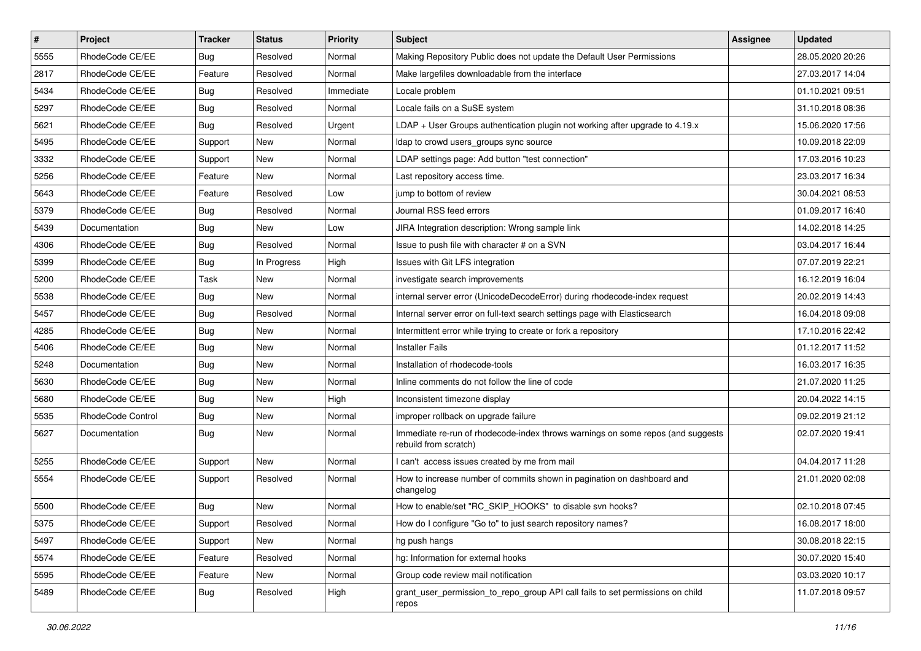| $\overline{\boldsymbol{H}}$ | Project           | <b>Tracker</b> | <b>Status</b> | <b>Priority</b> | <b>Subject</b>                                                                                           | <b>Assignee</b> | <b>Updated</b>   |
|-----------------------------|-------------------|----------------|---------------|-----------------|----------------------------------------------------------------------------------------------------------|-----------------|------------------|
| 5555                        | RhodeCode CE/EE   | <b>Bug</b>     | Resolved      | Normal          | Making Repository Public does not update the Default User Permissions                                    |                 | 28.05.2020 20:26 |
| 2817                        | RhodeCode CE/EE   | Feature        | Resolved      | Normal          | Make largefiles downloadable from the interface                                                          |                 | 27.03.2017 14:04 |
| 5434                        | RhodeCode CE/EE   | Bug            | Resolved      | Immediate       | Locale problem                                                                                           |                 | 01.10.2021 09:51 |
| 5297                        | RhodeCode CE/EE   | <b>Bug</b>     | Resolved      | Normal          | Locale fails on a SuSE system                                                                            |                 | 31.10.2018 08:36 |
| 5621                        | RhodeCode CE/EE   | <b>Bug</b>     | Resolved      | Urgent          | LDAP + User Groups authentication plugin not working after upgrade to 4.19.x                             |                 | 15.06.2020 17:56 |
| 5495                        | RhodeCode CE/EE   | Support        | <b>New</b>    | Normal          | Idap to crowd users_groups sync source                                                                   |                 | 10.09.2018 22:09 |
| 3332                        | RhodeCode CE/EE   | Support        | <b>New</b>    | Normal          | LDAP settings page: Add button "test connection"                                                         |                 | 17.03.2016 10:23 |
| 5256                        | RhodeCode CE/EE   | Feature        | <b>New</b>    | Normal          | Last repository access time.                                                                             |                 | 23.03.2017 16:34 |
| 5643                        | RhodeCode CE/EE   | Feature        | Resolved      | Low             | jump to bottom of review                                                                                 |                 | 30.04.2021 08:53 |
| 5379                        | RhodeCode CE/EE   | Bug            | Resolved      | Normal          | Journal RSS feed errors                                                                                  |                 | 01.09.2017 16:40 |
| 5439                        | Documentation     | <b>Bug</b>     | New           | Low             | JIRA Integration description: Wrong sample link                                                          |                 | 14.02.2018 14:25 |
| 4306                        | RhodeCode CE/EE   | Bug            | Resolved      | Normal          | Issue to push file with character # on a SVN                                                             |                 | 03.04.2017 16:44 |
| 5399                        | RhodeCode CE/EE   | Bug            | In Progress   | High            | Issues with Git LFS integration                                                                          |                 | 07.07.2019 22:21 |
| 5200                        | RhodeCode CE/EE   | Task           | <b>New</b>    | Normal          | investigate search improvements                                                                          |                 | 16.12.2019 16:04 |
| 5538                        | RhodeCode CE/EE   | Bug            | <b>New</b>    | Normal          | internal server error (UnicodeDecodeError) during rhodecode-index request                                |                 | 20.02.2019 14:43 |
| 5457                        | RhodeCode CE/EE   | <b>Bug</b>     | Resolved      | Normal          | Internal server error on full-text search settings page with Elasticsearch                               |                 | 16.04.2018 09:08 |
| 4285                        | RhodeCode CE/EE   | Bug            | <b>New</b>    | Normal          | Intermittent error while trying to create or fork a repository                                           |                 | 17.10.2016 22:42 |
| 5406                        | RhodeCode CE/EE   | Bug            | <b>New</b>    | Normal          | <b>Installer Fails</b>                                                                                   |                 | 01.12.2017 11:52 |
| 5248                        | Documentation     | <b>Bug</b>     | New           | Normal          | Installation of rhodecode-tools                                                                          |                 | 16.03.2017 16:35 |
| 5630                        | RhodeCode CE/EE   | Bug            | New           | Normal          | Inline comments do not follow the line of code                                                           |                 | 21.07.2020 11:25 |
| 5680                        | RhodeCode CE/EE   | Bug            | <b>New</b>    | High            | Inconsistent timezone display                                                                            |                 | 20.04.2022 14:15 |
| 5535                        | RhodeCode Control | <b>Bug</b>     | New           | Normal          | improper rollback on upgrade failure                                                                     |                 | 09.02.2019 21:12 |
| 5627                        | Documentation     | <b>Bug</b>     | New           | Normal          | Immediate re-run of rhodecode-index throws warnings on some repos (and suggests<br>rebuild from scratch) |                 | 02.07.2020 19:41 |
| 5255                        | RhodeCode CE/EE   | Support        | <b>New</b>    | Normal          | I can't access issues created by me from mail                                                            |                 | 04.04.2017 11:28 |
| 5554                        | RhodeCode CE/EE   | Support        | Resolved      | Normal          | How to increase number of commits shown in pagination on dashboard and<br>changelog                      |                 | 21.01.2020 02:08 |
| 5500                        | RhodeCode CE/EE   | <b>Bug</b>     | <b>New</b>    | Normal          | How to enable/set "RC_SKIP_HOOKS" to disable svn hooks?                                                  |                 | 02.10.2018 07:45 |
| 5375                        | RhodeCode CE/EE   | Support        | Resolved      | Normal          | How do I configure "Go to" to just search repository names?                                              |                 | 16.08.2017 18:00 |
| 5497                        | RhodeCode CE/EE   | Support        | New           | Normal          | hg push hangs                                                                                            |                 | 30.08.2018 22:15 |
| 5574                        | RhodeCode CE/EE   | Feature        | Resolved      | Normal          | hg: Information for external hooks                                                                       |                 | 30.07.2020 15:40 |
| 5595                        | RhodeCode CE/EE   | Feature        | New           | Normal          | Group code review mail notification                                                                      |                 | 03.03.2020 10:17 |
| 5489                        | RhodeCode CE/EE   | Bug            | Resolved      | High            | grant_user_permission_to_repo_group API call fails to set permissions on child<br>repos                  |                 | 11.07.2018 09:57 |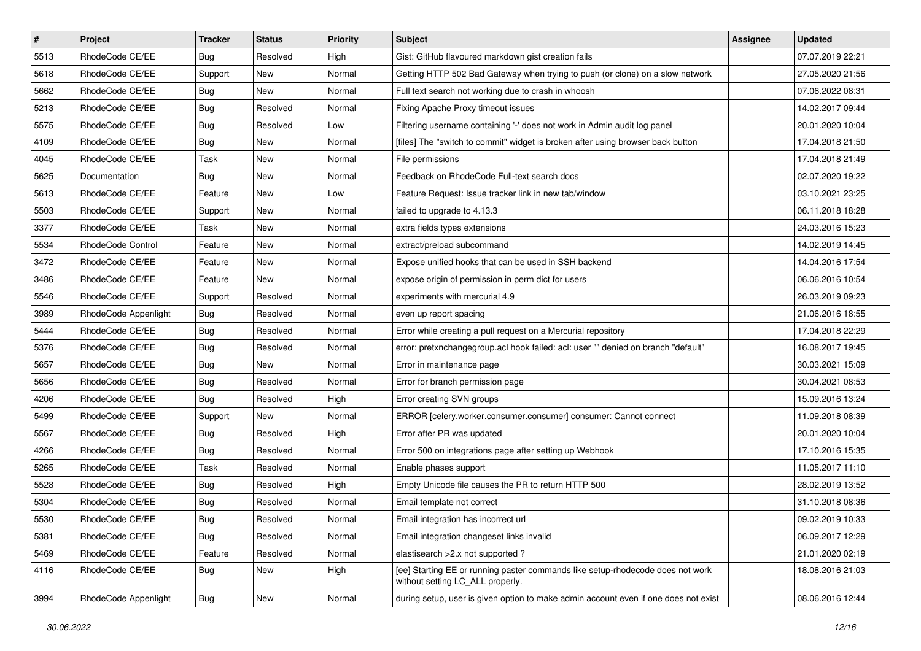| $\vert$ # | Project              | Tracker    | <b>Status</b> | <b>Priority</b> | <b>Subject</b>                                                                                                     | <b>Assignee</b> | <b>Updated</b>   |
|-----------|----------------------|------------|---------------|-----------------|--------------------------------------------------------------------------------------------------------------------|-----------------|------------------|
| 5513      | RhodeCode CE/EE      | <b>Bug</b> | Resolved      | High            | Gist: GitHub flavoured markdown gist creation fails                                                                |                 | 07.07.2019 22:21 |
| 5618      | RhodeCode CE/EE      | Support    | <b>New</b>    | Normal          | Getting HTTP 502 Bad Gateway when trying to push (or clone) on a slow network                                      |                 | 27.05.2020 21:56 |
| 5662      | RhodeCode CE/EE      | Bug        | New           | Normal          | Full text search not working due to crash in whoosh                                                                |                 | 07.06.2022 08:31 |
| 5213      | RhodeCode CE/EE      | <b>Bug</b> | Resolved      | Normal          | Fixing Apache Proxy timeout issues                                                                                 |                 | 14.02.2017 09:44 |
| 5575      | RhodeCode CE/EE      | Bug        | Resolved      | Low             | Filtering username containing '-' does not work in Admin audit log panel                                           |                 | 20.01.2020 10:04 |
| 4109      | RhodeCode CE/EE      | <b>Bug</b> | New           | Normal          | [files] The "switch to commit" widget is broken after using browser back button                                    |                 | 17.04.2018 21:50 |
| 4045      | RhodeCode CE/EE      | Task       | New           | Normal          | File permissions                                                                                                   |                 | 17.04.2018 21:49 |
| 5625      | Documentation        | Bug        | New           | Normal          | Feedback on RhodeCode Full-text search docs                                                                        |                 | 02.07.2020 19:22 |
| 5613      | RhodeCode CE/EE      | Feature    | New           | Low             | Feature Request: Issue tracker link in new tab/window                                                              |                 | 03.10.2021 23:25 |
| 5503      | RhodeCode CE/EE      | Support    | New           | Normal          | failed to upgrade to 4.13.3                                                                                        |                 | 06.11.2018 18:28 |
| 3377      | RhodeCode CE/EE      | Task       | New           | Normal          | extra fields types extensions                                                                                      |                 | 24.03.2016 15:23 |
| 5534      | RhodeCode Control    | Feature    | New           | Normal          | extract/preload subcommand                                                                                         |                 | 14.02.2019 14:45 |
| 3472      | RhodeCode CE/EE      | Feature    | New           | Normal          | Expose unified hooks that can be used in SSH backend                                                               |                 | 14.04.2016 17:54 |
| 3486      | RhodeCode CE/EE      | Feature    | New           | Normal          | expose origin of permission in perm dict for users                                                                 |                 | 06.06.2016 10:54 |
| 5546      | RhodeCode CE/EE      | Support    | Resolved      | Normal          | experiments with mercurial 4.9                                                                                     |                 | 26.03.2019 09:23 |
| 3989      | RhodeCode Appenlight | Bug        | Resolved      | Normal          | even up report spacing                                                                                             |                 | 21.06.2016 18:55 |
| 5444      | RhodeCode CE/EE      | <b>Bug</b> | Resolved      | Normal          | Error while creating a pull request on a Mercurial repository                                                      |                 | 17.04.2018 22:29 |
| 5376      | RhodeCode CE/EE      | Bug        | Resolved      | Normal          | error: pretxnchangegroup.acl hook failed: acl: user "" denied on branch "default"                                  |                 | 16.08.2017 19:45 |
| 5657      | RhodeCode CE/EE      | <b>Bug</b> | New           | Normal          | Error in maintenance page                                                                                          |                 | 30.03.2021 15:09 |
| 5656      | RhodeCode CE/EE      | <b>Bug</b> | Resolved      | Normal          | Error for branch permission page                                                                                   |                 | 30.04.2021 08:53 |
| 4206      | RhodeCode CE/EE      | Bug        | Resolved      | High            | Error creating SVN groups                                                                                          |                 | 15.09.2016 13:24 |
| 5499      | RhodeCode CE/EE      | Support    | New           | Normal          | ERROR [celery.worker.consumer.consumer] consumer: Cannot connect                                                   |                 | 11.09.2018 08:39 |
| 5567      | RhodeCode CE/EE      | Bug        | Resolved      | High            | Error after PR was updated                                                                                         |                 | 20.01.2020 10:04 |
| 4266      | RhodeCode CE/EE      | <b>Bug</b> | Resolved      | Normal          | Error 500 on integrations page after setting up Webhook                                                            |                 | 17.10.2016 15:35 |
| 5265      | RhodeCode CE/EE      | Task       | Resolved      | Normal          | Enable phases support                                                                                              |                 | 11.05.2017 11:10 |
| 5528      | RhodeCode CE/EE      | <b>Bug</b> | Resolved      | High            | Empty Unicode file causes the PR to return HTTP 500                                                                |                 | 28.02.2019 13:52 |
| 5304      | RhodeCode CE/EE      | Bug        | Resolved      | Normal          | Email template not correct                                                                                         |                 | 31.10.2018 08:36 |
| 5530      | RhodeCode CE/EE      | Bug        | Resolved      | Normal          | Email integration has incorrect url                                                                                |                 | 09.02.2019 10:33 |
| 5381      | RhodeCode CE/EE      | Bug        | Resolved      | Normal          | Email integration changeset links invalid                                                                          |                 | 06.09.2017 12:29 |
| 5469      | RhodeCode CE/EE      | Feature    | Resolved      | Normal          | elastisearch > 2.x not supported?                                                                                  |                 | 21.01.2020 02:19 |
| 4116      | RhodeCode CE/EE      | Bug        | New           | High            | [ee] Starting EE or running paster commands like setup-rhodecode does not work<br>without setting LC_ALL properly. |                 | 18.08.2016 21:03 |
| 3994      | RhodeCode Appenlight | Bug        | New           | Normal          | during setup, user is given option to make admin account even if one does not exist                                |                 | 08.06.2016 12:44 |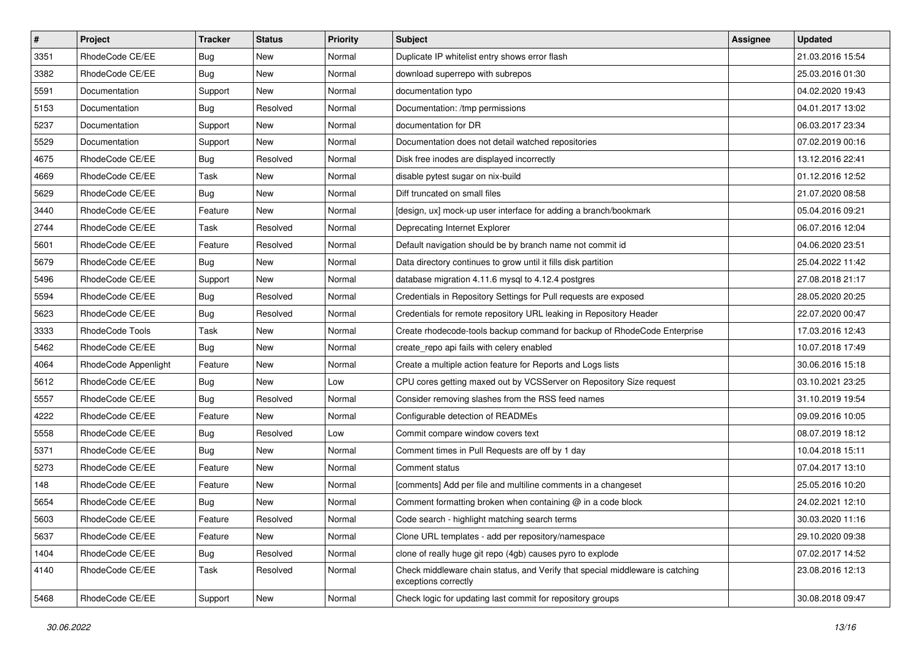| $\pmb{\#}$ | Project                | <b>Tracker</b> | <b>Status</b> | Priority | <b>Subject</b>                                                                                        | <b>Assignee</b> | <b>Updated</b>   |
|------------|------------------------|----------------|---------------|----------|-------------------------------------------------------------------------------------------------------|-----------------|------------------|
| 3351       | RhodeCode CE/EE        | Bug            | New           | Normal   | Duplicate IP whitelist entry shows error flash                                                        |                 | 21.03.2016 15:54 |
| 3382       | RhodeCode CE/EE        | Bug            | <b>New</b>    | Normal   | download superrepo with subrepos                                                                      |                 | 25.03.2016 01:30 |
| 5591       | Documentation          | Support        | New           | Normal   | documentation typo                                                                                    |                 | 04.02.2020 19:43 |
| 5153       | Documentation          | Bug            | Resolved      | Normal   | Documentation: /tmp permissions                                                                       |                 | 04.01.2017 13:02 |
| 5237       | Documentation          | Support        | New           | Normal   | documentation for DR                                                                                  |                 | 06.03.2017 23:34 |
| 5529       | Documentation          | Support        | <b>New</b>    | Normal   | Documentation does not detail watched repositories                                                    |                 | 07.02.2019 00:16 |
| 4675       | RhodeCode CE/EE        | Bug            | Resolved      | Normal   | Disk free inodes are displayed incorrectly                                                            |                 | 13.12.2016 22:41 |
| 4669       | RhodeCode CE/EE        | Task           | New           | Normal   | disable pytest sugar on nix-build                                                                     |                 | 01.12.2016 12:52 |
| 5629       | RhodeCode CE/EE        | Bug            | New           | Normal   | Diff truncated on small files                                                                         |                 | 21.07.2020 08:58 |
| 3440       | RhodeCode CE/EE        | Feature        | <b>New</b>    | Normal   | [design, ux] mock-up user interface for adding a branch/bookmark                                      |                 | 05.04.2016 09:21 |
| 2744       | RhodeCode CE/EE        | Task           | Resolved      | Normal   | Deprecating Internet Explorer                                                                         |                 | 06.07.2016 12:04 |
| 5601       | RhodeCode CE/EE        | Feature        | Resolved      | Normal   | Default navigation should be by branch name not commit id                                             |                 | 04.06.2020 23:51 |
| 5679       | RhodeCode CE/EE        | Bug            | <b>New</b>    | Normal   | Data directory continues to grow until it fills disk partition                                        |                 | 25.04.2022 11:42 |
| 5496       | RhodeCode CE/EE        | Support        | <b>New</b>    | Normal   | database migration 4.11.6 mysql to 4.12.4 postgres                                                    |                 | 27.08.2018 21:17 |
| 5594       | RhodeCode CE/EE        | Bug            | Resolved      | Normal   | Credentials in Repository Settings for Pull requests are exposed                                      |                 | 28.05.2020 20:25 |
| 5623       | RhodeCode CE/EE        | <b>Bug</b>     | Resolved      | Normal   | Credentials for remote repository URL leaking in Repository Header                                    |                 | 22.07.2020 00:47 |
| 3333       | <b>RhodeCode Tools</b> | Task           | New           | Normal   | Create rhodecode-tools backup command for backup of RhodeCode Enterprise                              |                 | 17.03.2016 12:43 |
| 5462       | RhodeCode CE/EE        | <b>Bug</b>     | <b>New</b>    | Normal   | create_repo api fails with celery enabled                                                             |                 | 10.07.2018 17:49 |
| 4064       | RhodeCode Appenlight   | Feature        | New           | Normal   | Create a multiple action feature for Reports and Logs lists                                           |                 | 30.06.2016 15:18 |
| 5612       | RhodeCode CE/EE        | <b>Bug</b>     | New           | Low      | CPU cores getting maxed out by VCSServer on Repository Size request                                   |                 | 03.10.2021 23:25 |
| 5557       | RhodeCode CE/EE        | Bug            | Resolved      | Normal   | Consider removing slashes from the RSS feed names                                                     |                 | 31.10.2019 19:54 |
| 4222       | RhodeCode CE/EE        | Feature        | <b>New</b>    | Normal   | Configurable detection of READMEs                                                                     |                 | 09.09.2016 10:05 |
| 5558       | RhodeCode CE/EE        | <b>Bug</b>     | Resolved      | Low      | Commit compare window covers text                                                                     |                 | 08.07.2019 18:12 |
| 5371       | RhodeCode CE/EE        | Bug            | New           | Normal   | Comment times in Pull Requests are off by 1 day                                                       |                 | 10.04.2018 15:11 |
| 5273       | RhodeCode CE/EE        | Feature        | New           | Normal   | Comment status                                                                                        |                 | 07.04.2017 13:10 |
| 148        | RhodeCode CE/EE        | Feature        | New           | Normal   | [comments] Add per file and multiline comments in a changeset                                         |                 | 25.05.2016 10:20 |
| 5654       | RhodeCode CE/EE        | Bug            | New           | Normal   | Comment formatting broken when containing @ in a code block                                           |                 | 24.02.2021 12:10 |
| 5603       | RhodeCode CE/EE        | Feature        | Resolved      | Normal   | Code search - highlight matching search terms                                                         |                 | 30.03.2020 11:16 |
| 5637       | RhodeCode CE/EE        | Feature        | New           | Normal   | Clone URL templates - add per repository/namespace                                                    |                 | 29.10.2020 09:38 |
| 1404       | RhodeCode CE/EE        | Bug            | Resolved      | Normal   | clone of really huge git repo (4gb) causes pyro to explode                                            |                 | 07.02.2017 14:52 |
| 4140       | RhodeCode CE/EE        | Task           | Resolved      | Normal   | Check middleware chain status, and Verify that special middleware is catching<br>exceptions correctly |                 | 23.08.2016 12:13 |
| 5468       | RhodeCode CE/EE        | Support        | New           | Normal   | Check logic for updating last commit for repository groups                                            |                 | 30.08.2018 09:47 |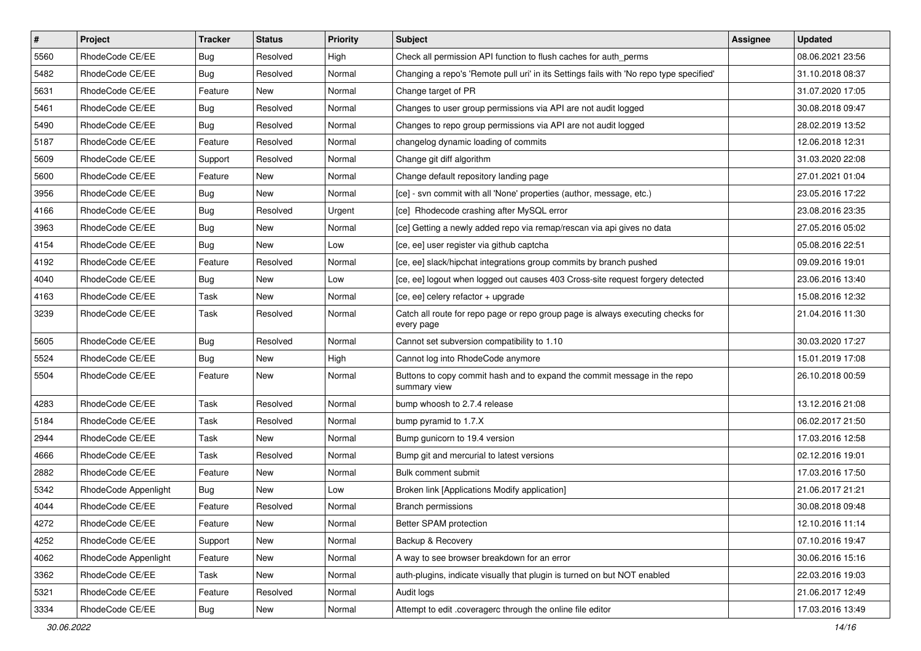| $\pmb{\#}$ | Project              | <b>Tracker</b> | <b>Status</b> | <b>Priority</b> | Subject                                                                                       | <b>Assignee</b> | <b>Updated</b>   |
|------------|----------------------|----------------|---------------|-----------------|-----------------------------------------------------------------------------------------------|-----------------|------------------|
| 5560       | RhodeCode CE/EE      | <b>Bug</b>     | Resolved      | High            | Check all permission API function to flush caches for auth_perms                              |                 | 08.06.2021 23:56 |
| 5482       | RhodeCode CE/EE      | Bug            | Resolved      | Normal          | Changing a repo's 'Remote pull uri' in its Settings fails with 'No repo type specified'       |                 | 31.10.2018 08:37 |
| 5631       | RhodeCode CE/EE      | Feature        | New           | Normal          | Change target of PR                                                                           |                 | 31.07.2020 17:05 |
| 5461       | RhodeCode CE/EE      | <b>Bug</b>     | Resolved      | Normal          | Changes to user group permissions via API are not audit logged                                |                 | 30.08.2018 09:47 |
| 5490       | RhodeCode CE/EE      | <b>Bug</b>     | Resolved      | Normal          | Changes to repo group permissions via API are not audit logged                                |                 | 28.02.2019 13:52 |
| 5187       | RhodeCode CE/EE      | Feature        | Resolved      | Normal          | changelog dynamic loading of commits                                                          |                 | 12.06.2018 12:31 |
| 5609       | RhodeCode CE/EE      | Support        | Resolved      | Normal          | Change git diff algorithm                                                                     |                 | 31.03.2020 22:08 |
| 5600       | RhodeCode CE/EE      | Feature        | New           | Normal          | Change default repository landing page                                                        |                 | 27.01.2021 01:04 |
| 3956       | RhodeCode CE/EE      | <b>Bug</b>     | New           | Normal          | [ce] - svn commit with all 'None' properties (author, message, etc.)                          |                 | 23.05.2016 17:22 |
| 4166       | RhodeCode CE/EE      | <b>Bug</b>     | Resolved      | Urgent          | [ce] Rhodecode crashing after MySQL error                                                     |                 | 23.08.2016 23:35 |
| 3963       | RhodeCode CE/EE      | Bug            | New           | Normal          | [ce] Getting a newly added repo via remap/rescan via api gives no data                        |                 | 27.05.2016 05:02 |
| 4154       | RhodeCode CE/EE      | <b>Bug</b>     | New           | Low             | [ce, ee] user register via github captcha                                                     |                 | 05.08.2016 22:51 |
| 4192       | RhodeCode CE/EE      | Feature        | Resolved      | Normal          | [ce, ee] slack/hipchat integrations group commits by branch pushed                            |                 | 09.09.2016 19:01 |
| 4040       | RhodeCode CE/EE      | <b>Bug</b>     | New           | Low             | [ce, ee] logout when logged out causes 403 Cross-site request forgery detected                |                 | 23.06.2016 13:40 |
| 4163       | RhodeCode CE/EE      | Task           | New           | Normal          | [ce, ee] celery refactor + upgrade                                                            |                 | 15.08.2016 12:32 |
| 3239       | RhodeCode CE/EE      | Task           | Resolved      | Normal          | Catch all route for repo page or repo group page is always executing checks for<br>every page |                 | 21.04.2016 11:30 |
| 5605       | RhodeCode CE/EE      | <b>Bug</b>     | Resolved      | Normal          | Cannot set subversion compatibility to 1.10                                                   |                 | 30.03.2020 17:27 |
| 5524       | RhodeCode CE/EE      | Bug            | New           | High            | Cannot log into RhodeCode anymore                                                             |                 | 15.01.2019 17:08 |
| 5504       | RhodeCode CE/EE      | Feature        | New           | Normal          | Buttons to copy commit hash and to expand the commit message in the repo<br>summary view      |                 | 26.10.2018 00:59 |
| 4283       | RhodeCode CE/EE      | Task           | Resolved      | Normal          | bump whoosh to 2.7.4 release                                                                  |                 | 13.12.2016 21:08 |
| 5184       | RhodeCode CE/EE      | Task           | Resolved      | Normal          | bump pyramid to 1.7.X                                                                         |                 | 06.02.2017 21:50 |
| 2944       | RhodeCode CE/EE      | Task           | New           | Normal          | Bump gunicorn to 19.4 version                                                                 |                 | 17.03.2016 12:58 |
| 4666       | RhodeCode CE/EE      | Task           | Resolved      | Normal          | Bump git and mercurial to latest versions                                                     |                 | 02.12.2016 19:01 |
| 2882       | RhodeCode CE/EE      | Feature        | New           | Normal          | Bulk comment submit                                                                           |                 | 17.03.2016 17:50 |
| 5342       | RhodeCode Appenlight | Bug            | New           | Low             | Broken link [Applications Modify application]                                                 |                 | 21.06.2017 21:21 |
| 4044       | RhodeCode CE/EE      | Feature        | Resolved      | Normal          | <b>Branch permissions</b>                                                                     |                 | 30.08.2018 09:48 |
| 4272       | RhodeCode CE/EE      | Feature        | New           | Normal          | Better SPAM protection                                                                        |                 | 12.10.2016 11:14 |
| 4252       | RhodeCode CE/EE      | Support        | New           | Normal          | Backup & Recovery                                                                             |                 | 07.10.2016 19:47 |
| 4062       | RhodeCode Appenlight | Feature        | <b>New</b>    | Normal          | A way to see browser breakdown for an error                                                   |                 | 30.06.2016 15:16 |
| 3362       | RhodeCode CE/EE      | Task           | New           | Normal          | auth-plugins, indicate visually that plugin is turned on but NOT enabled                      |                 | 22.03.2016 19:03 |
| 5321       | RhodeCode CE/EE      | Feature        | Resolved      | Normal          | Audit logs                                                                                    |                 | 21.06.2017 12:49 |
| 3334       | RhodeCode CE/EE      | <b>Bug</b>     | New           | Normal          | Attempt to edit .coveragerc through the online file editor                                    |                 | 17.03.2016 13:49 |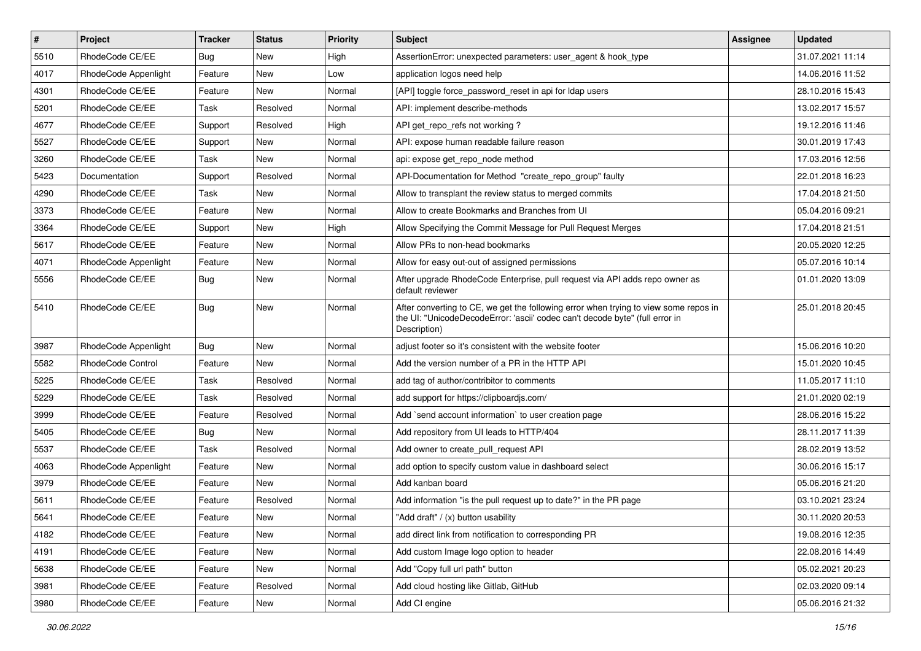| #    | Project                  | <b>Tracker</b> | <b>Status</b> | <b>Priority</b> | <b>Subject</b>                                                                                                                                                                       | <b>Assignee</b> | <b>Updated</b>   |
|------|--------------------------|----------------|---------------|-----------------|--------------------------------------------------------------------------------------------------------------------------------------------------------------------------------------|-----------------|------------------|
| 5510 | RhodeCode CE/EE          | Bug            | New           | High            | AssertionError: unexpected parameters: user_agent & hook_type                                                                                                                        |                 | 31.07.2021 11:14 |
| 4017 | RhodeCode Appenlight     | Feature        | New           | Low             | application logos need help                                                                                                                                                          |                 | 14.06.2016 11:52 |
| 4301 | RhodeCode CE/EE          | Feature        | New           | Normal          | [API] toggle force password reset in api for Idap users                                                                                                                              |                 | 28.10.2016 15:43 |
| 5201 | RhodeCode CE/EE          | Task           | Resolved      | Normal          | API: implement describe-methods                                                                                                                                                      |                 | 13.02.2017 15:57 |
| 4677 | RhodeCode CE/EE          | Support        | Resolved      | High            | API get repo refs not working?                                                                                                                                                       |                 | 19.12.2016 11:46 |
| 5527 | RhodeCode CE/EE          | Support        | New           | Normal          | API: expose human readable failure reason                                                                                                                                            |                 | 30.01.2019 17:43 |
| 3260 | RhodeCode CE/EE          | Task           | New           | Normal          | api: expose get repo node method                                                                                                                                                     |                 | 17.03.2016 12:56 |
| 5423 | Documentation            | Support        | Resolved      | Normal          | API-Documentation for Method "create_repo_group" faulty                                                                                                                              |                 | 22.01.2018 16:23 |
| 4290 | RhodeCode CE/EE          | Task           | New           | Normal          | Allow to transplant the review status to merged commits                                                                                                                              |                 | 17.04.2018 21:50 |
| 3373 | RhodeCode CE/EE          | Feature        | New           | Normal          | Allow to create Bookmarks and Branches from UI                                                                                                                                       |                 | 05.04.2016 09:21 |
| 3364 | RhodeCode CE/EE          | Support        | New           | High            | Allow Specifying the Commit Message for Pull Request Merges                                                                                                                          |                 | 17.04.2018 21:51 |
| 5617 | RhodeCode CE/EE          | Feature        | New           | Normal          | Allow PRs to non-head bookmarks                                                                                                                                                      |                 | 20.05.2020 12:25 |
| 4071 | RhodeCode Appenlight     | Feature        | New           | Normal          | Allow for easy out-out of assigned permissions                                                                                                                                       |                 | 05.07.2016 10:14 |
| 5556 | RhodeCode CE/EE          | Bug            | New           | Normal          | After upgrade RhodeCode Enterprise, pull request via API adds repo owner as<br>default reviewer                                                                                      |                 | 01.01.2020 13:09 |
| 5410 | RhodeCode CE/EE          | Bug            | New           | Normal          | After converting to CE, we get the following error when trying to view some repos in<br>the UI: "UnicodeDecodeError: 'ascii' codec can't decode byte" (full error in<br>Description) |                 | 25.01.2018 20:45 |
| 3987 | RhodeCode Appenlight     | Bug            | New           | Normal          | adjust footer so it's consistent with the website footer                                                                                                                             |                 | 15.06.2016 10:20 |
| 5582 | <b>RhodeCode Control</b> | Feature        | New           | Normal          | Add the version number of a PR in the HTTP API                                                                                                                                       |                 | 15.01.2020 10:45 |
| 5225 | RhodeCode CE/EE          | Task           | Resolved      | Normal          | add tag of author/contribitor to comments                                                                                                                                            |                 | 11.05.2017 11:10 |
| 5229 | RhodeCode CE/EE          | Task           | Resolved      | Normal          | add support for https://clipboardjs.com/                                                                                                                                             |                 | 21.01.2020 02:19 |
| 3999 | RhodeCode CE/EE          | Feature        | Resolved      | Normal          | Add `send account information` to user creation page                                                                                                                                 |                 | 28.06.2016 15:22 |
| 5405 | RhodeCode CE/EE          | Bug            | New           | Normal          | Add repository from UI leads to HTTP/404                                                                                                                                             |                 | 28.11.2017 11:39 |
| 5537 | RhodeCode CE/EE          | Task           | Resolved      | Normal          | Add owner to create_pull_request API                                                                                                                                                 |                 | 28.02.2019 13:52 |
| 4063 | RhodeCode Appenlight     | Feature        | New           | Normal          | add option to specify custom value in dashboard select                                                                                                                               |                 | 30.06.2016 15:17 |
| 3979 | RhodeCode CE/EE          | Feature        | New           | Normal          | Add kanban board                                                                                                                                                                     |                 | 05.06.2016 21:20 |
| 5611 | RhodeCode CE/EE          | Feature        | Resolved      | Normal          | Add information "is the pull request up to date?" in the PR page                                                                                                                     |                 | 03.10.2021 23:24 |
| 5641 | RhodeCode CE/EE          | Feature        | New           | Normal          | "Add draft" / (x) button usability                                                                                                                                                   |                 | 30.11.2020 20:53 |
| 4182 | RhodeCode CE/EE          | Feature        | New           | Normal          | add direct link from notification to corresponding PR                                                                                                                                |                 | 19.08.2016 12:35 |
| 4191 | RhodeCode CE/EE          | Feature        | New           | Normal          | Add custom Image logo option to header                                                                                                                                               |                 | 22.08.2016 14:49 |
| 5638 | RhodeCode CE/EE          | Feature        | New           | Normal          | Add "Copy full url path" button                                                                                                                                                      |                 | 05.02.2021 20:23 |
| 3981 | RhodeCode CE/EE          | Feature        | Resolved      | Normal          | Add cloud hosting like Gitlab, GitHub                                                                                                                                                |                 | 02.03.2020 09:14 |
| 3980 | RhodeCode CE/EE          | Feature        | New           | Normal          | Add CI engine                                                                                                                                                                        |                 | 05.06.2016 21:32 |